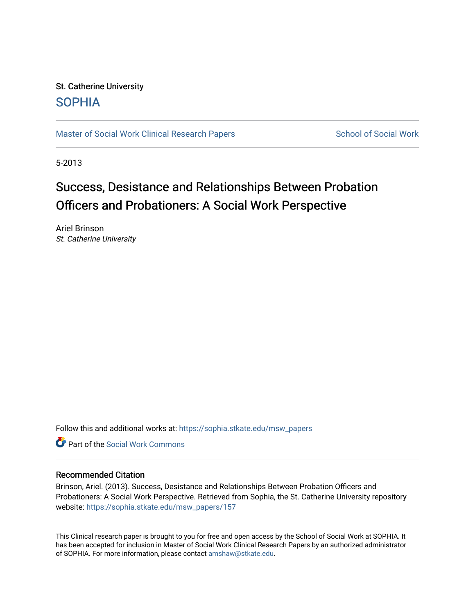# St. Catherine University [SOPHIA](https://sophia.stkate.edu/)

[Master of Social Work Clinical Research Papers](https://sophia.stkate.edu/msw_papers) School of Social Work

5-2013

# Success, Desistance and Relationships Between Probation Officers and Probationers: A Social Work Perspective

Ariel Brinson St. Catherine University

Follow this and additional works at: [https://sophia.stkate.edu/msw\\_papers](https://sophia.stkate.edu/msw_papers?utm_source=sophia.stkate.edu%2Fmsw_papers%2F157&utm_medium=PDF&utm_campaign=PDFCoverPages) 

**C** Part of the [Social Work Commons](http://network.bepress.com/hgg/discipline/713?utm_source=sophia.stkate.edu%2Fmsw_papers%2F157&utm_medium=PDF&utm_campaign=PDFCoverPages)

## Recommended Citation

Brinson, Ariel. (2013). Success, Desistance and Relationships Between Probation Officers and Probationers: A Social Work Perspective. Retrieved from Sophia, the St. Catherine University repository website: [https://sophia.stkate.edu/msw\\_papers/157](https://sophia.stkate.edu/msw_papers/157?utm_source=sophia.stkate.edu%2Fmsw_papers%2F157&utm_medium=PDF&utm_campaign=PDFCoverPages)

This Clinical research paper is brought to you for free and open access by the School of Social Work at SOPHIA. It has been accepted for inclusion in Master of Social Work Clinical Research Papers by an authorized administrator of SOPHIA. For more information, please contact [amshaw@stkate.edu.](mailto:amshaw@stkate.edu)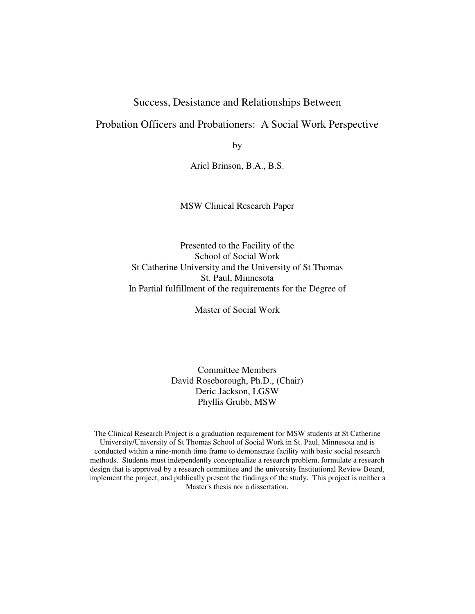# Success, Desistance and Relationships Between

# Probation Officers and Probationers: A Social Work Perspective

by

Ariel Brinson, B.A., B.S.

MSW Clinical Research Paper

Presented to the Facility of the School of Social Work St Catherine University and the University of St Thomas St. Paul, Minnesota In Partial fulfillment of the requirements for the Degree of

Master of Social Work

Committee Members David Roseborough, Ph.D., (Chair) Deric Jackson, LGSW Phyllis Grubb, MSW

The Clinical Research Project is a graduation requirement for MSW students at St Catherine University/University of St Thomas School of Social Work in St. Paul, Minnesota and is conducted within a nine-month time frame to demonstrate facility with basic social research methods. Students must independently conceptualize a research problem, formulate a research design that is approved by a research committee and the university Institutional Review Board, implement the project, and publically present the findings of the study. This project is neither a Master's thesis nor a dissertation.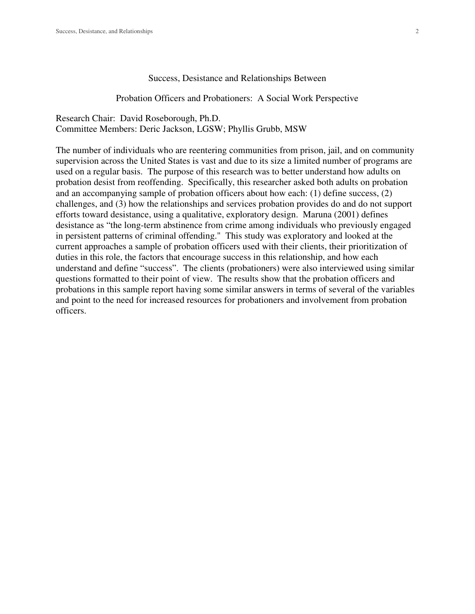#### Success, Desistance and Relationships Between

Probation Officers and Probationers: A Social Work Perspective

Research Chair: David Roseborough, Ph.D. Committee Members: Deric Jackson, LGSW; Phyllis Grubb, MSW

The number of individuals who are reentering communities from prison, jail, and on community supervision across the United States is vast and due to its size a limited number of programs are used on a regular basis. The purpose of this research was to better understand how adults on probation desist from reoffending. Specifically, this researcher asked both adults on probation and an accompanying sample of probation officers about how each: (1) define success, (2) challenges, and (3) how the relationships and services probation provides do and do not support efforts toward desistance, using a qualitative, exploratory design. Maruna (2001) defines desistance as "the long-term abstinence from crime among individuals who previously engaged in persistent patterns of criminal offending." This study was exploratory and looked at the current approaches a sample of probation officers used with their clients, their prioritization of duties in this role, the factors that encourage success in this relationship, and how each understand and define "success". The clients (probationers) were also interviewed using similar questions formatted to their point of view. The results show that the probation officers and probations in this sample report having some similar answers in terms of several of the variables and point to the need for increased resources for probationers and involvement from probation officers.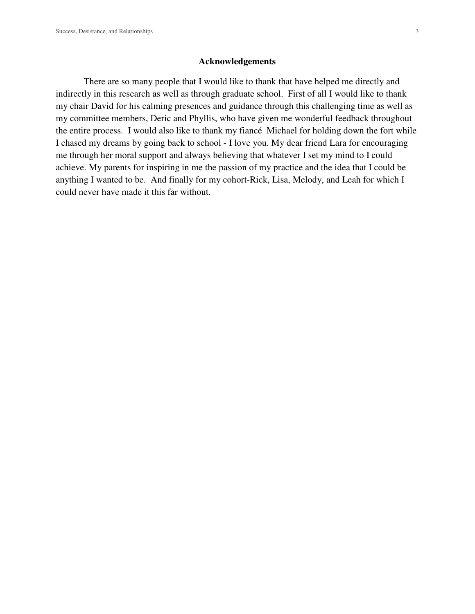#### **Acknowledgements**

 There are so many people that I would like to thank that have helped me directly and indirectly in this research as well as through graduate school. First of all I would like to thank my chair David for his calming presences and guidance through this challenging time as well as my committee members, Deric and Phyllis, who have given me wonderful feedback throughout the entire process. I would also like to thank my fiancé Michael for holding down the fort while I chased my dreams by going back to school - I love you. My dear friend Lara for encouraging me through her moral support and always believing that whatever I set my mind to I could achieve. My parents for inspiring in me the passion of my practice and the idea that I could be anything I wanted to be. And finally for my cohort-Rick, Lisa, Melody, and Leah for which I could never have made it this far without.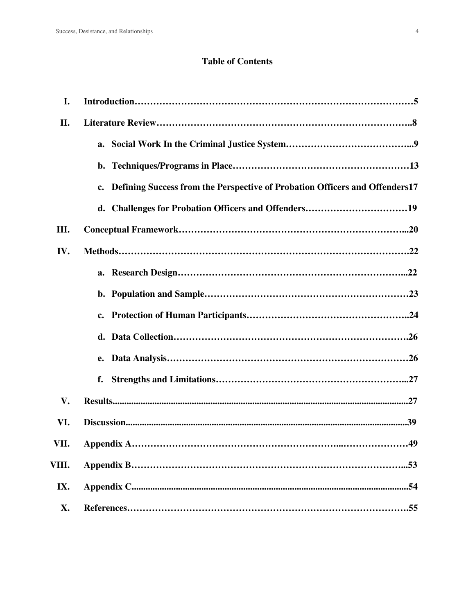# **Table of Contents**

| I.    |                                                                                |
|-------|--------------------------------------------------------------------------------|
| П.    |                                                                                |
|       |                                                                                |
|       |                                                                                |
|       | c. Defining Success from the Perspective of Probation Officers and Offenders17 |
|       |                                                                                |
| Ш.    |                                                                                |
| IV.   |                                                                                |
|       |                                                                                |
|       |                                                                                |
|       |                                                                                |
|       |                                                                                |
|       |                                                                                |
|       | f.                                                                             |
| V.    |                                                                                |
| VI.   |                                                                                |
| VII.  | .49<br>Appendix A                                                              |
| VIII. |                                                                                |
| IX.   |                                                                                |
| X.    |                                                                                |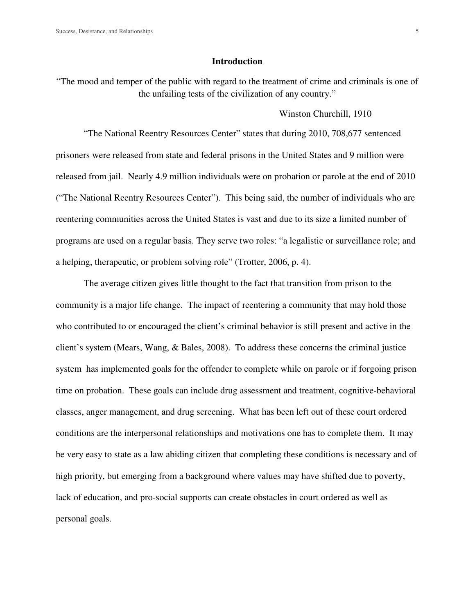#### **Introduction**

"The mood and temper of the public with regard to the treatment of crime and criminals is one of the unfailing tests of the civilization of any country."

#### Winston Churchill, 1910

"The National Reentry Resources Center" states that during 2010, 708,677 sentenced prisoners were released from state and federal prisons in the United States and 9 million were released from jail. Nearly 4.9 million individuals were on probation or parole at the end of 2010 ("The National Reentry Resources Center"). This being said, the number of individuals who are reentering communities across the United States is vast and due to its size a limited number of programs are used on a regular basis. They serve two roles: "a legalistic or surveillance role; and a helping, therapeutic, or problem solving role" (Trotter, 2006, p. 4).

The average citizen gives little thought to the fact that transition from prison to the community is a major life change. The impact of reentering a community that may hold those who contributed to or encouraged the client's criminal behavior is still present and active in the client's system (Mears, Wang, & Bales, 2008). To address these concerns the criminal justice system has implemented goals for the offender to complete while on parole or if forgoing prison time on probation. These goals can include drug assessment and treatment, cognitive-behavioral classes, anger management, and drug screening. What has been left out of these court ordered conditions are the interpersonal relationships and motivations one has to complete them. It may be very easy to state as a law abiding citizen that completing these conditions is necessary and of high priority, but emerging from a background where values may have shifted due to poverty, lack of education, and pro-social supports can create obstacles in court ordered as well as personal goals.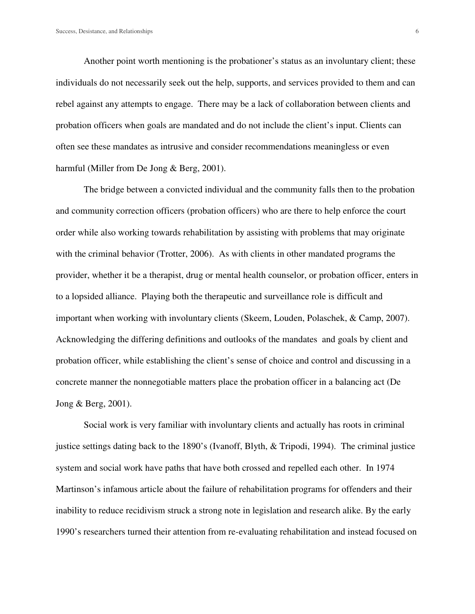Another point worth mentioning is the probationer's status as an involuntary client; these individuals do not necessarily seek out the help, supports, and services provided to them and can rebel against any attempts to engage. There may be a lack of collaboration between clients and probation officers when goals are mandated and do not include the client's input. Clients can often see these mandates as intrusive and consider recommendations meaningless or even harmful (Miller from De Jong & Berg, 2001).

The bridge between a convicted individual and the community falls then to the probation and community correction officers (probation officers) who are there to help enforce the court order while also working towards rehabilitation by assisting with problems that may originate with the criminal behavior (Trotter, 2006). As with clients in other mandated programs the provider, whether it be a therapist, drug or mental health counselor, or probation officer, enters in to a lopsided alliance. Playing both the therapeutic and surveillance role is difficult and important when working with involuntary clients (Skeem, Louden, Polaschek, & Camp, 2007). Acknowledging the differing definitions and outlooks of the mandates and goals by client and probation officer, while establishing the client's sense of choice and control and discussing in a concrete manner the nonnegotiable matters place the probation officer in a balancing act (De Jong & Berg, 2001).

Social work is very familiar with involuntary clients and actually has roots in criminal justice settings dating back to the 1890's (Ivanoff, Blyth, & Tripodi, 1994). The criminal justice system and social work have paths that have both crossed and repelled each other. In 1974 Martinson's infamous article about the failure of rehabilitation programs for offenders and their inability to reduce recidivism struck a strong note in legislation and research alike. By the early 1990's researchers turned their attention from re-evaluating rehabilitation and instead focused on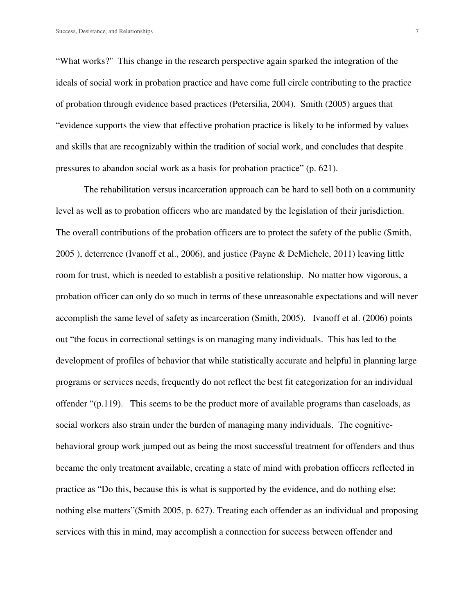"What works?" This change in the research perspective again sparked the integration of the ideals of social work in probation practice and have come full circle contributing to the practice of probation through evidence based practices (Petersilia, 2004). Smith (2005) argues that "evidence supports the view that effective probation practice is likely to be informed by values and skills that are recognizably within the tradition of social work, and concludes that despite pressures to abandon social work as a basis for probation practice" (p. 621).

The rehabilitation versus incarceration approach can be hard to sell both on a community level as well as to probation officers who are mandated by the legislation of their jurisdiction. The overall contributions of the probation officers are to protect the safety of the public (Smith, 2005 ), deterrence (Ivanoff et al., 2006), and justice (Payne & DeMichele, 2011) leaving little room for trust, which is needed to establish a positive relationship. No matter how vigorous, a probation officer can only do so much in terms of these unreasonable expectations and will never accomplish the same level of safety as incarceration (Smith, 2005). Ivanoff et al. (2006) points out "the focus in correctional settings is on managing many individuals. This has led to the development of profiles of behavior that while statistically accurate and helpful in planning large programs or services needs, frequently do not reflect the best fit categorization for an individual offender "(p.119). This seems to be the product more of available programs than caseloads, as social workers also strain under the burden of managing many individuals. The cognitivebehavioral group work jumped out as being the most successful treatment for offenders and thus became the only treatment available, creating a state of mind with probation officers reflected in practice as "Do this, because this is what is supported by the evidence, and do nothing else; nothing else matters"(Smith 2005, p. 627). Treating each offender as an individual and proposing services with this in mind, may accomplish a connection for success between offender and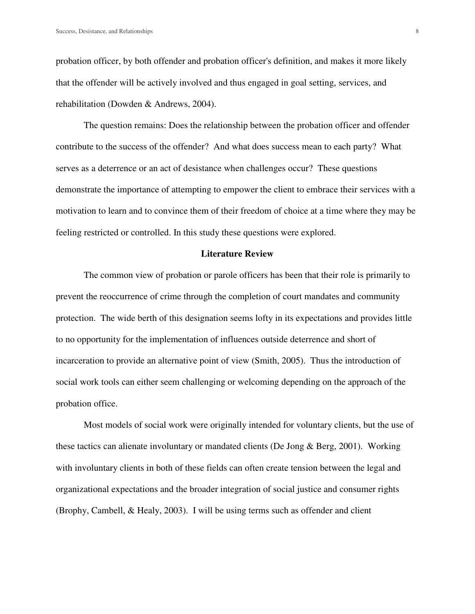probation officer, by both offender and probation officer's definition, and makes it more likely that the offender will be actively involved and thus engaged in goal setting, services, and rehabilitation (Dowden & Andrews, 2004).

 The question remains: Does the relationship between the probation officer and offender contribute to the success of the offender? And what does success mean to each party? What serves as a deterrence or an act of desistance when challenges occur? These questions demonstrate the importance of attempting to empower the client to embrace their services with a motivation to learn and to convince them of their freedom of choice at a time where they may be feeling restricted or controlled. In this study these questions were explored.

#### **Literature Review**

 The common view of probation or parole officers has been that their role is primarily to prevent the reoccurrence of crime through the completion of court mandates and community protection. The wide berth of this designation seems lofty in its expectations and provides little to no opportunity for the implementation of influences outside deterrence and short of incarceration to provide an alternative point of view (Smith, 2005). Thus the introduction of social work tools can either seem challenging or welcoming depending on the approach of the probation office.

Most models of social work were originally intended for voluntary clients, but the use of these tactics can alienate involuntary or mandated clients (De Jong & Berg, 2001). Working with involuntary clients in both of these fields can often create tension between the legal and organizational expectations and the broader integration of social justice and consumer rights (Brophy, Cambell, & Healy, 2003). I will be using terms such as offender and client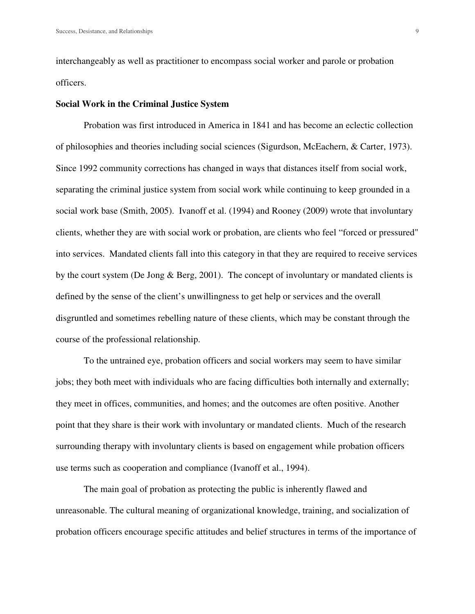interchangeably as well as practitioner to encompass social worker and parole or probation officers.

#### **Social Work in the Criminal Justice System**

Probation was first introduced in America in 1841 and has become an eclectic collection of philosophies and theories including social sciences (Sigurdson, McEachern, & Carter, 1973). Since 1992 community corrections has changed in ways that distances itself from social work, separating the criminal justice system from social work while continuing to keep grounded in a social work base (Smith, 2005). Ivanoff et al. (1994) and Rooney (2009) wrote that involuntary clients, whether they are with social work or probation, are clients who feel "forced or pressured" into services. Mandated clients fall into this category in that they are required to receive services by the court system (De Jong & Berg, 2001). The concept of involuntary or mandated clients is defined by the sense of the client's unwillingness to get help or services and the overall disgruntled and sometimes rebelling nature of these clients, which may be constant through the course of the professional relationship.

To the untrained eye, probation officers and social workers may seem to have similar jobs; they both meet with individuals who are facing difficulties both internally and externally; they meet in offices, communities, and homes; and the outcomes are often positive. Another point that they share is their work with involuntary or mandated clients. Much of the research surrounding therapy with involuntary clients is based on engagement while probation officers use terms such as cooperation and compliance (Ivanoff et al., 1994).

The main goal of probation as protecting the public is inherently flawed and unreasonable. The cultural meaning of organizational knowledge, training, and socialization of probation officers encourage specific attitudes and belief structures in terms of the importance of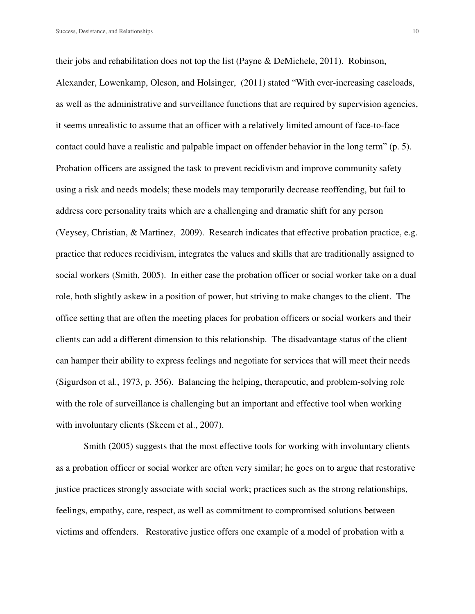their jobs and rehabilitation does not top the list (Payne & DeMichele, 2011). Robinson, Alexander, Lowenkamp, Oleson, and Holsinger, (2011) stated "With ever-increasing caseloads, as well as the administrative and surveillance functions that are required by supervision agencies, it seems unrealistic to assume that an officer with a relatively limited amount of face-to-face contact could have a realistic and palpable impact on offender behavior in the long term" (p. 5). Probation officers are assigned the task to prevent recidivism and improve community safety using a risk and needs models; these models may temporarily decrease reoffending, but fail to address core personality traits which are a challenging and dramatic shift for any person (Veysey, Christian, & Martinez, 2009). Research indicates that effective probation practice, e.g. practice that reduces recidivism, integrates the values and skills that are traditionally assigned to social workers (Smith, 2005). In either case the probation officer or social worker take on a dual role, both slightly askew in a position of power, but striving to make changes to the client. The office setting that are often the meeting places for probation officers or social workers and their clients can add a different dimension to this relationship. The disadvantage status of the client can hamper their ability to express feelings and negotiate for services that will meet their needs (Sigurdson et al., 1973, p. 356). Balancing the helping, therapeutic, and problem-solving role with the role of surveillance is challenging but an important and effective tool when working with involuntary clients (Skeem et al., 2007).

Smith (2005) suggests that the most effective tools for working with involuntary clients as a probation officer or social worker are often very similar; he goes on to argue that restorative justice practices strongly associate with social work; practices such as the strong relationships, feelings, empathy, care, respect, as well as commitment to compromised solutions between victims and offenders. Restorative justice offers one example of a model of probation with a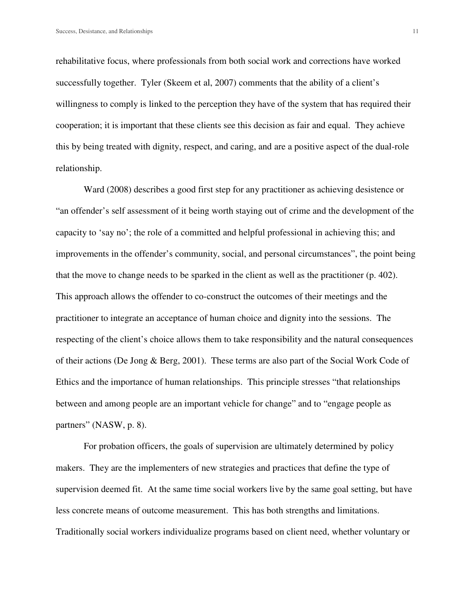rehabilitative focus, where professionals from both social work and corrections have worked successfully together. Tyler (Skeem et al, 2007) comments that the ability of a client's willingness to comply is linked to the perception they have of the system that has required their cooperation; it is important that these clients see this decision as fair and equal. They achieve this by being treated with dignity, respect, and caring, and are a positive aspect of the dual-role relationship.

 Ward (2008) describes a good first step for any practitioner as achieving desistence or "an offender's self assessment of it being worth staying out of crime and the development of the capacity to 'say no'; the role of a committed and helpful professional in achieving this; and improvements in the offender's community, social, and personal circumstances", the point being that the move to change needs to be sparked in the client as well as the practitioner (p. 402). This approach allows the offender to co-construct the outcomes of their meetings and the practitioner to integrate an acceptance of human choice and dignity into the sessions. The respecting of the client's choice allows them to take responsibility and the natural consequences of their actions (De Jong & Berg, 2001). These terms are also part of the Social Work Code of Ethics and the importance of human relationships. This principle stresses "that relationships between and among people are an important vehicle for change" and to "engage people as partners" (NASW, p. 8).

 For probation officers, the goals of supervision are ultimately determined by policy makers. They are the implementers of new strategies and practices that define the type of supervision deemed fit. At the same time social workers live by the same goal setting, but have less concrete means of outcome measurement. This has both strengths and limitations. Traditionally social workers individualize programs based on client need, whether voluntary or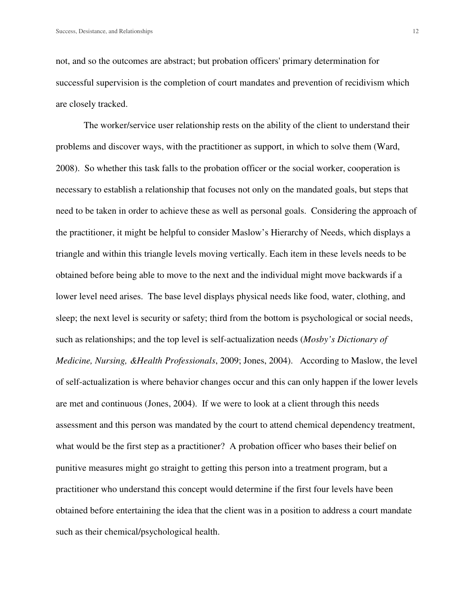not, and so the outcomes are abstract; but probation officers' primary determination for successful supervision is the completion of court mandates and prevention of recidivism which are closely tracked.

 The worker/service user relationship rests on the ability of the client to understand their problems and discover ways, with the practitioner as support, in which to solve them (Ward, 2008). So whether this task falls to the probation officer or the social worker, cooperation is necessary to establish a relationship that focuses not only on the mandated goals, but steps that need to be taken in order to achieve these as well as personal goals. Considering the approach of the practitioner, it might be helpful to consider Maslow's Hierarchy of Needs, which displays a triangle and within this triangle levels moving vertically. Each item in these levels needs to be obtained before being able to move to the next and the individual might move backwards if a lower level need arises. The base level displays physical needs like food, water, clothing, and sleep; the next level is security or safety; third from the bottom is psychological or social needs, such as relationships; and the top level is self-actualization needs (*Mosby's Dictionary of Medicine, Nursing, &Health Professionals*, 2009; Jones, 2004). According to Maslow, the level of self-actualization is where behavior changes occur and this can only happen if the lower levels are met and continuous (Jones, 2004). If we were to look at a client through this needs assessment and this person was mandated by the court to attend chemical dependency treatment, what would be the first step as a practitioner? A probation officer who bases their belief on punitive measures might go straight to getting this person into a treatment program, but a practitioner who understand this concept would determine if the first four levels have been obtained before entertaining the idea that the client was in a position to address a court mandate such as their chemical/psychological health.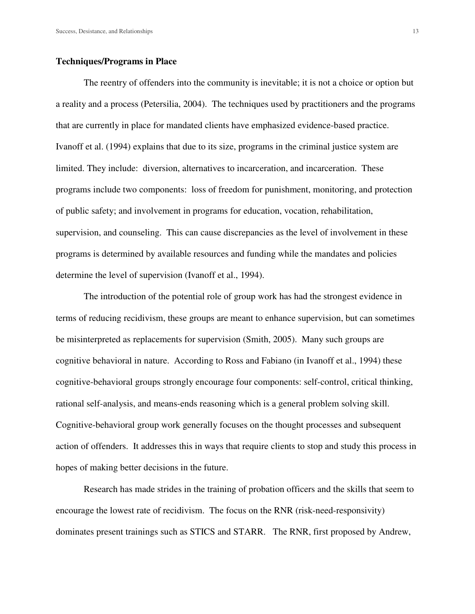#### **Techniques/Programs in Place**

The reentry of offenders into the community is inevitable; it is not a choice or option but a reality and a process (Petersilia, 2004). The techniques used by practitioners and the programs that are currently in place for mandated clients have emphasized evidence-based practice. Ivanoff et al. (1994) explains that due to its size, programs in the criminal justice system are limited. They include: diversion, alternatives to incarceration, and incarceration. These programs include two components: loss of freedom for punishment, monitoring, and protection of public safety; and involvement in programs for education, vocation, rehabilitation, supervision, and counseling. This can cause discrepancies as the level of involvement in these programs is determined by available resources and funding while the mandates and policies determine the level of supervision (Ivanoff et al., 1994).

The introduction of the potential role of group work has had the strongest evidence in terms of reducing recidivism, these groups are meant to enhance supervision, but can sometimes be misinterpreted as replacements for supervision (Smith, 2005). Many such groups are cognitive behavioral in nature. According to Ross and Fabiano (in Ivanoff et al., 1994) these cognitive-behavioral groups strongly encourage four components: self-control, critical thinking, rational self-analysis, and means-ends reasoning which is a general problem solving skill. Cognitive-behavioral group work generally focuses on the thought processes and subsequent action of offenders. It addresses this in ways that require clients to stop and study this process in hopes of making better decisions in the future.

Research has made strides in the training of probation officers and the skills that seem to encourage the lowest rate of recidivism. The focus on the RNR (risk-need-responsivity) dominates present trainings such as STICS and STARR. The RNR, first proposed by Andrew,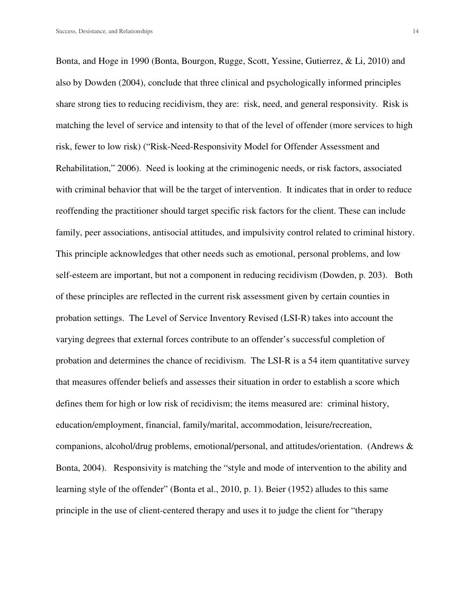Bonta, and Hoge in 1990 (Bonta, Bourgon, Rugge, Scott, Yessine, Gutierrez, & Li, 2010) and also by Dowden (2004), conclude that three clinical and psychologically informed principles share strong ties to reducing recidivism, they are: risk, need, and general responsivity. Risk is matching the level of service and intensity to that of the level of offender (more services to high risk, fewer to low risk) ("Risk-Need-Responsivity Model for Offender Assessment and Rehabilitation," 2006). Need is looking at the criminogenic needs, or risk factors, associated with criminal behavior that will be the target of intervention. It indicates that in order to reduce reoffending the practitioner should target specific risk factors for the client. These can include family, peer associations, antisocial attitudes, and impulsivity control related to criminal history. This principle acknowledges that other needs such as emotional, personal problems, and low self-esteem are important, but not a component in reducing recidivism (Dowden, p. 203). Both of these principles are reflected in the current risk assessment given by certain counties in probation settings. The Level of Service Inventory Revised (LSI-R) takes into account the varying degrees that external forces contribute to an offender's successful completion of probation and determines the chance of recidivism. The LSI-R is a 54 item quantitative survey that measures offender beliefs and assesses their situation in order to establish a score which defines them for high or low risk of recidivism; the items measured are: criminal history, education/employment, financial, family/marital, accommodation, leisure/recreation, companions, alcohol/drug problems, emotional/personal, and attitudes/orientation. (Andrews & Bonta, 2004). Responsivity is matching the "style and mode of intervention to the ability and learning style of the offender" (Bonta et al., 2010, p. 1). Beier (1952) alludes to this same principle in the use of client-centered therapy and uses it to judge the client for "therapy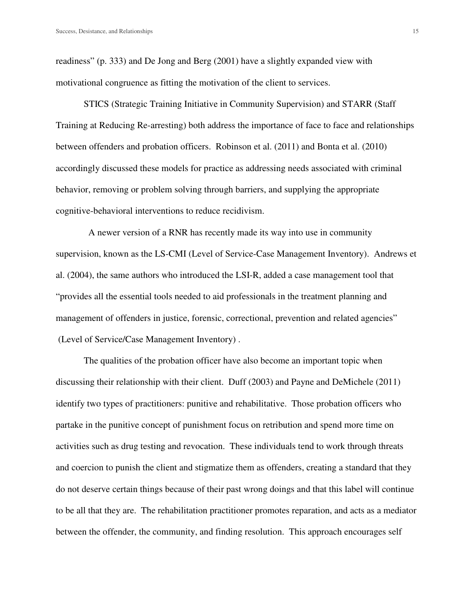readiness" (p. 333) and De Jong and Berg (2001) have a slightly expanded view with motivational congruence as fitting the motivation of the client to services.

STICS (Strategic Training Initiative in Community Supervision) and STARR (Staff Training at Reducing Re-arresting) both address the importance of face to face and relationships between offenders and probation officers. Robinson et al. (2011) and Bonta et al. (2010) accordingly discussed these models for practice as addressing needs associated with criminal behavior, removing or problem solving through barriers, and supplying the appropriate cognitive-behavioral interventions to reduce recidivism.

 A newer version of a RNR has recently made its way into use in community supervision, known as the LS-CMI (Level of Service-Case Management Inventory). Andrews et al. (2004), the same authors who introduced the LSI-R, added a case management tool that "provides all the essential tools needed to aid professionals in the treatment planning and management of offenders in justice, forensic, correctional, prevention and related agencies" (Level of Service/Case Management Inventory) .

The qualities of the probation officer have also become an important topic when discussing their relationship with their client. Duff (2003) and Payne and DeMichele (2011) identify two types of practitioners: punitive and rehabilitative. Those probation officers who partake in the punitive concept of punishment focus on retribution and spend more time on activities such as drug testing and revocation. These individuals tend to work through threats and coercion to punish the client and stigmatize them as offenders, creating a standard that they do not deserve certain things because of their past wrong doings and that this label will continue to be all that they are. The rehabilitation practitioner promotes reparation, and acts as a mediator between the offender, the community, and finding resolution. This approach encourages self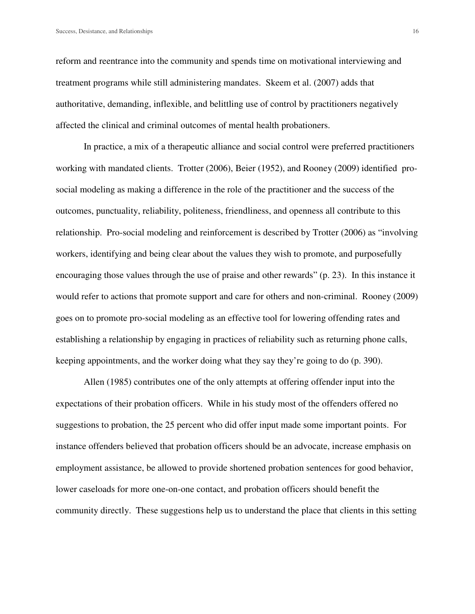reform and reentrance into the community and spends time on motivational interviewing and treatment programs while still administering mandates. Skeem et al. (2007) adds that authoritative, demanding, inflexible, and belittling use of control by practitioners negatively affected the clinical and criminal outcomes of mental health probationers.

In practice, a mix of a therapeutic alliance and social control were preferred practitioners working with mandated clients. Trotter (2006), Beier (1952), and Rooney (2009) identified prosocial modeling as making a difference in the role of the practitioner and the success of the outcomes, punctuality, reliability, politeness, friendliness, and openness all contribute to this relationship. Pro-social modeling and reinforcement is described by Trotter (2006) as "involving workers, identifying and being clear about the values they wish to promote, and purposefully encouraging those values through the use of praise and other rewards" (p. 23). In this instance it would refer to actions that promote support and care for others and non-criminal. Rooney (2009) goes on to promote pro-social modeling as an effective tool for lowering offending rates and establishing a relationship by engaging in practices of reliability such as returning phone calls, keeping appointments, and the worker doing what they say they're going to do (p. 390).

Allen (1985) contributes one of the only attempts at offering offender input into the expectations of their probation officers. While in his study most of the offenders offered no suggestions to probation, the 25 percent who did offer input made some important points. For instance offenders believed that probation officers should be an advocate, increase emphasis on employment assistance, be allowed to provide shortened probation sentences for good behavior, lower caseloads for more one-on-one contact, and probation officers should benefit the community directly. These suggestions help us to understand the place that clients in this setting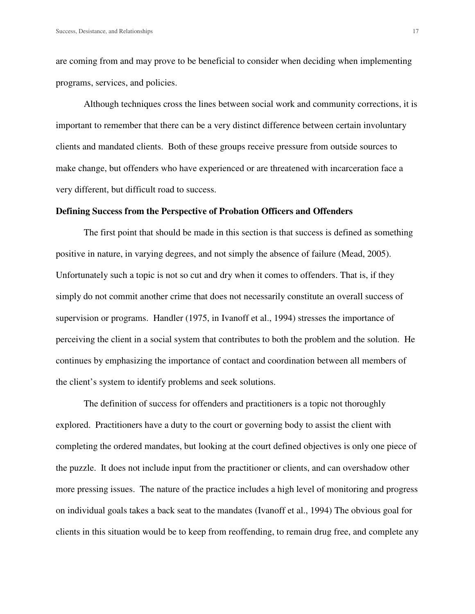are coming from and may prove to be beneficial to consider when deciding when implementing programs, services, and policies.

Although techniques cross the lines between social work and community corrections, it is important to remember that there can be a very distinct difference between certain involuntary clients and mandated clients. Both of these groups receive pressure from outside sources to make change, but offenders who have experienced or are threatened with incarceration face a very different, but difficult road to success.

#### **Defining Success from the Perspective of Probation Officers and Offenders**

The first point that should be made in this section is that success is defined as something positive in nature, in varying degrees, and not simply the absence of failure (Mead, 2005). Unfortunately such a topic is not so cut and dry when it comes to offenders. That is, if they simply do not commit another crime that does not necessarily constitute an overall success of supervision or programs. Handler (1975, in Ivanoff et al., 1994) stresses the importance of perceiving the client in a social system that contributes to both the problem and the solution. He continues by emphasizing the importance of contact and coordination between all members of the client's system to identify problems and seek solutions.

The definition of success for offenders and practitioners is a topic not thoroughly explored. Practitioners have a duty to the court or governing body to assist the client with completing the ordered mandates, but looking at the court defined objectives is only one piece of the puzzle. It does not include input from the practitioner or clients, and can overshadow other more pressing issues. The nature of the practice includes a high level of monitoring and progress on individual goals takes a back seat to the mandates (Ivanoff et al., 1994) The obvious goal for clients in this situation would be to keep from reoffending, to remain drug free, and complete any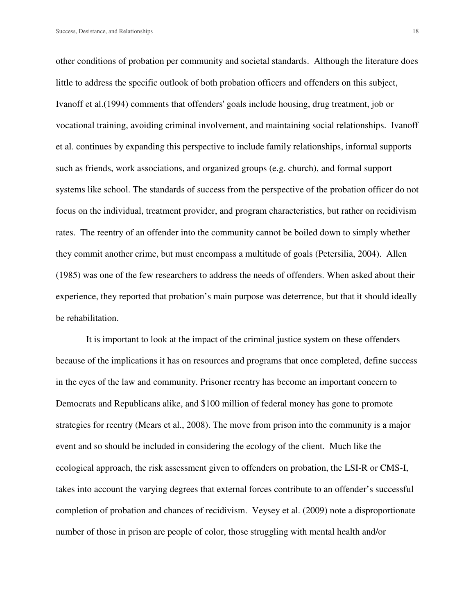other conditions of probation per community and societal standards. Although the literature does little to address the specific outlook of both probation officers and offenders on this subject, Ivanoff et al.(1994) comments that offenders' goals include housing, drug treatment, job or vocational training, avoiding criminal involvement, and maintaining social relationships. Ivanoff et al. continues by expanding this perspective to include family relationships, informal supports such as friends, work associations, and organized groups (e.g. church), and formal support systems like school. The standards of success from the perspective of the probation officer do not focus on the individual, treatment provider, and program characteristics, but rather on recidivism rates. The reentry of an offender into the community cannot be boiled down to simply whether they commit another crime, but must encompass a multitude of goals (Petersilia, 2004). Allen (1985) was one of the few researchers to address the needs of offenders. When asked about their experience, they reported that probation's main purpose was deterrence, but that it should ideally be rehabilitation.

 It is important to look at the impact of the criminal justice system on these offenders because of the implications it has on resources and programs that once completed, define success in the eyes of the law and community. Prisoner reentry has become an important concern to Democrats and Republicans alike, and \$100 million of federal money has gone to promote strategies for reentry (Mears et al., 2008). The move from prison into the community is a major event and so should be included in considering the ecology of the client. Much like the ecological approach, the risk assessment given to offenders on probation, the LSI-R or CMS-I, takes into account the varying degrees that external forces contribute to an offender's successful completion of probation and chances of recidivism. Veysey et al. (2009) note a disproportionate number of those in prison are people of color, those struggling with mental health and/or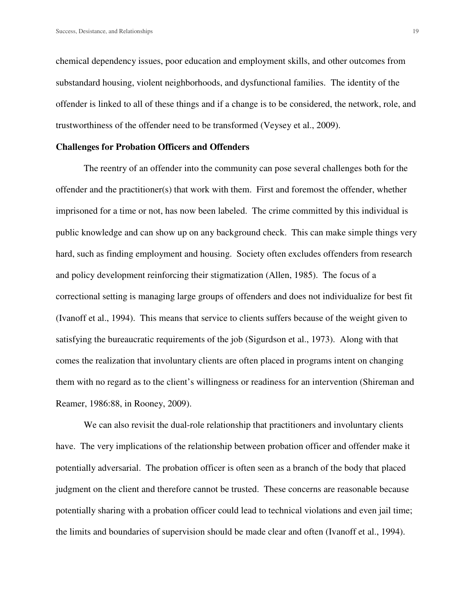chemical dependency issues, poor education and employment skills, and other outcomes from substandard housing, violent neighborhoods, and dysfunctional families. The identity of the offender is linked to all of these things and if a change is to be considered, the network, role, and trustworthiness of the offender need to be transformed (Veysey et al., 2009).

#### **Challenges for Probation Officers and Offenders**

 The reentry of an offender into the community can pose several challenges both for the offender and the practitioner(s) that work with them. First and foremost the offender, whether imprisoned for a time or not, has now been labeled. The crime committed by this individual is public knowledge and can show up on any background check. This can make simple things very hard, such as finding employment and housing. Society often excludes offenders from research and policy development reinforcing their stigmatization (Allen, 1985). The focus of a correctional setting is managing large groups of offenders and does not individualize for best fit (Ivanoff et al., 1994). This means that service to clients suffers because of the weight given to satisfying the bureaucratic requirements of the job (Sigurdson et al., 1973). Along with that comes the realization that involuntary clients are often placed in programs intent on changing them with no regard as to the client's willingness or readiness for an intervention (Shireman and Reamer, 1986:88, in Rooney, 2009).

We can also revisit the dual-role relationship that practitioners and involuntary clients have. The very implications of the relationship between probation officer and offender make it potentially adversarial. The probation officer is often seen as a branch of the body that placed judgment on the client and therefore cannot be trusted. These concerns are reasonable because potentially sharing with a probation officer could lead to technical violations and even jail time; the limits and boundaries of supervision should be made clear and often (Ivanoff et al., 1994).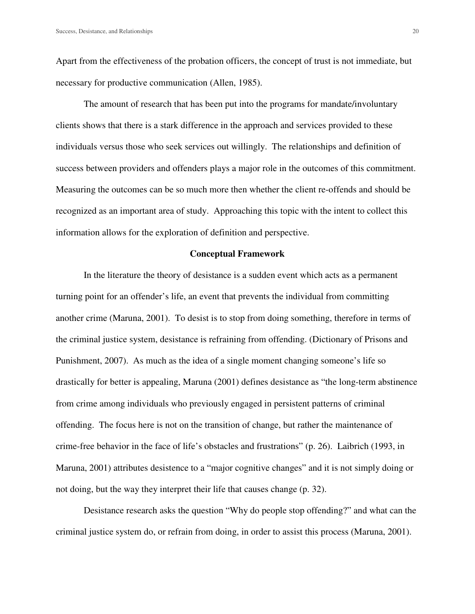Apart from the effectiveness of the probation officers, the concept of trust is not immediate, but necessary for productive communication (Allen, 1985).

 The amount of research that has been put into the programs for mandate/involuntary clients shows that there is a stark difference in the approach and services provided to these individuals versus those who seek services out willingly. The relationships and definition of success between providers and offenders plays a major role in the outcomes of this commitment. Measuring the outcomes can be so much more then whether the client re-offends and should be recognized as an important area of study. Approaching this topic with the intent to collect this information allows for the exploration of definition and perspective.

#### **Conceptual Framework**

 In the literature the theory of desistance is a sudden event which acts as a permanent turning point for an offender's life, an event that prevents the individual from committing another crime (Maruna, 2001). To desist is to stop from doing something, therefore in terms of the criminal justice system, desistance is refraining from offending. (Dictionary of Prisons and Punishment, 2007). As much as the idea of a single moment changing someone's life so drastically for better is appealing, Maruna (2001) defines desistance as "the long-term abstinence from crime among individuals who previously engaged in persistent patterns of criminal offending. The focus here is not on the transition of change, but rather the maintenance of crime-free behavior in the face of life's obstacles and frustrations" (p. 26). Laibrich (1993, in Maruna, 2001) attributes desistence to a "major cognitive changes" and it is not simply doing or not doing, but the way they interpret their life that causes change (p. 32).

 Desistance research asks the question "Why do people stop offending?" and what can the criminal justice system do, or refrain from doing, in order to assist this process (Maruna, 2001).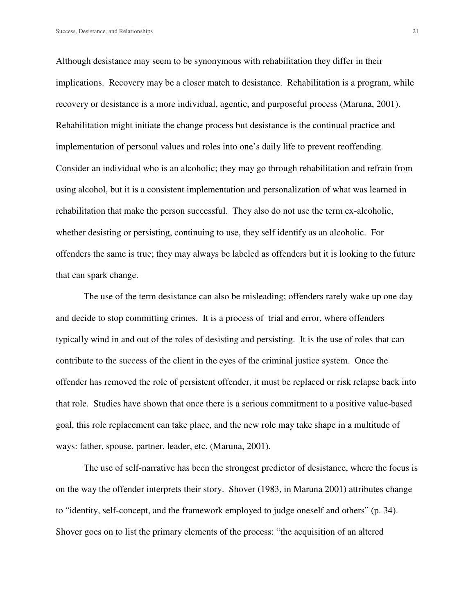Although desistance may seem to be synonymous with rehabilitation they differ in their implications. Recovery may be a closer match to desistance. Rehabilitation is a program, while recovery or desistance is a more individual, agentic, and purposeful process (Maruna, 2001). Rehabilitation might initiate the change process but desistance is the continual practice and implementation of personal values and roles into one's daily life to prevent reoffending. Consider an individual who is an alcoholic; they may go through rehabilitation and refrain from using alcohol, but it is a consistent implementation and personalization of what was learned in rehabilitation that make the person successful. They also do not use the term ex-alcoholic, whether desisting or persisting, continuing to use, they self identify as an alcoholic. For offenders the same is true; they may always be labeled as offenders but it is looking to the future that can spark change.

 The use of the term desistance can also be misleading; offenders rarely wake up one day and decide to stop committing crimes. It is a process of trial and error, where offenders typically wind in and out of the roles of desisting and persisting. It is the use of roles that can contribute to the success of the client in the eyes of the criminal justice system. Once the offender has removed the role of persistent offender, it must be replaced or risk relapse back into that role. Studies have shown that once there is a serious commitment to a positive value-based goal, this role replacement can take place, and the new role may take shape in a multitude of ways: father, spouse, partner, leader, etc. (Maruna, 2001).

 The use of self-narrative has been the strongest predictor of desistance, where the focus is on the way the offender interprets their story. Shover (1983, in Maruna 2001) attributes change to "identity, self-concept, and the framework employed to judge oneself and others" (p. 34). Shover goes on to list the primary elements of the process: "the acquisition of an altered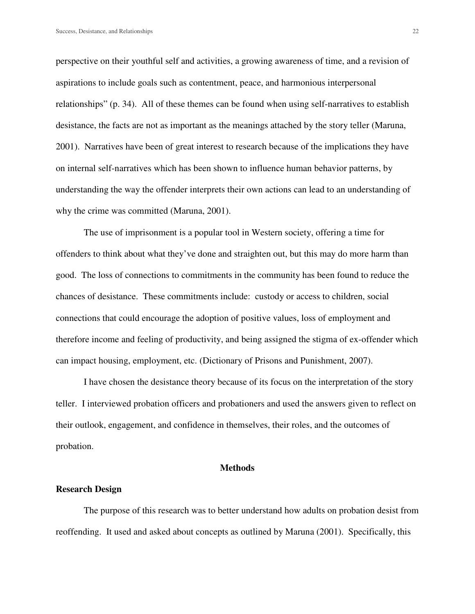perspective on their youthful self and activities, a growing awareness of time, and a revision of aspirations to include goals such as contentment, peace, and harmonious interpersonal relationships" (p. 34). All of these themes can be found when using self-narratives to establish desistance, the facts are not as important as the meanings attached by the story teller (Maruna, 2001). Narratives have been of great interest to research because of the implications they have on internal self-narratives which has been shown to influence human behavior patterns, by understanding the way the offender interprets their own actions can lead to an understanding of why the crime was committed (Maruna, 2001).

 The use of imprisonment is a popular tool in Western society, offering a time for offenders to think about what they've done and straighten out, but this may do more harm than good. The loss of connections to commitments in the community has been found to reduce the chances of desistance. These commitments include: custody or access to children, social connections that could encourage the adoption of positive values, loss of employment and therefore income and feeling of productivity, and being assigned the stigma of ex-offender which can impact housing, employment, etc. (Dictionary of Prisons and Punishment, 2007).

 I have chosen the desistance theory because of its focus on the interpretation of the story teller. I interviewed probation officers and probationers and used the answers given to reflect on their outlook, engagement, and confidence in themselves, their roles, and the outcomes of probation.

#### **Methods**

#### **Research Design**

 The purpose of this research was to better understand how adults on probation desist from reoffending. It used and asked about concepts as outlined by Maruna (2001). Specifically, this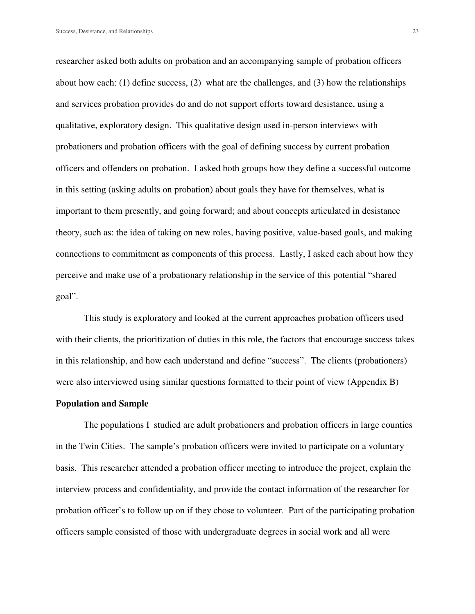researcher asked both adults on probation and an accompanying sample of probation officers about how each: (1) define success, (2) what are the challenges, and (3) how the relationships and services probation provides do and do not support efforts toward desistance, using a qualitative, exploratory design. This qualitative design used in-person interviews with probationers and probation officers with the goal of defining success by current probation officers and offenders on probation. I asked both groups how they define a successful outcome in this setting (asking adults on probation) about goals they have for themselves, what is important to them presently, and going forward; and about concepts articulated in desistance theory, such as: the idea of taking on new roles, having positive, value-based goals, and making connections to commitment as components of this process. Lastly, I asked each about how they perceive and make use of a probationary relationship in the service of this potential "shared goal".

 This study is exploratory and looked at the current approaches probation officers used with their clients, the prioritization of duties in this role, the factors that encourage success takes in this relationship, and how each understand and define "success". The clients (probationers) were also interviewed using similar questions formatted to their point of view (Appendix B)

#### **Population and Sample**

The populations I studied are adult probationers and probation officers in large counties in the Twin Cities. The sample's probation officers were invited to participate on a voluntary basis. This researcher attended a probation officer meeting to introduce the project, explain the interview process and confidentiality, and provide the contact information of the researcher for probation officer's to follow up on if they chose to volunteer. Part of the participating probation officers sample consisted of those with undergraduate degrees in social work and all were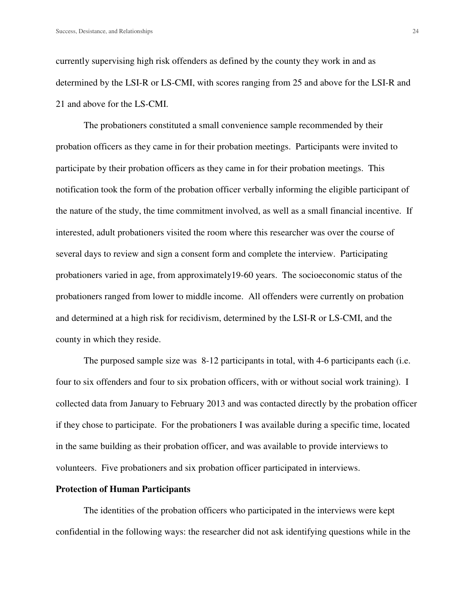currently supervising high risk offenders as defined by the county they work in and as determined by the LSI-R or LS-CMI, with scores ranging from 25 and above for the LSI-R and 21 and above for the LS-CMI.

The probationers constituted a small convenience sample recommended by their probation officers as they came in for their probation meetings. Participants were invited to participate by their probation officers as they came in for their probation meetings. This notification took the form of the probation officer verbally informing the eligible participant of the nature of the study, the time commitment involved, as well as a small financial incentive. If interested, adult probationers visited the room where this researcher was over the course of several days to review and sign a consent form and complete the interview. Participating probationers varied in age, from approximately19-60 years. The socioeconomic status of the probationers ranged from lower to middle income. All offenders were currently on probation and determined at a high risk for recidivism, determined by the LSI-R or LS-CMI, and the county in which they reside.

The purposed sample size was 8-12 participants in total, with 4-6 participants each (i.e. four to six offenders and four to six probation officers, with or without social work training). I collected data from January to February 2013 and was contacted directly by the probation officer if they chose to participate. For the probationers I was available during a specific time, located in the same building as their probation officer, and was available to provide interviews to volunteers. Five probationers and six probation officer participated in interviews.

#### **Protection of Human Participants**

The identities of the probation officers who participated in the interviews were kept confidential in the following ways: the researcher did not ask identifying questions while in the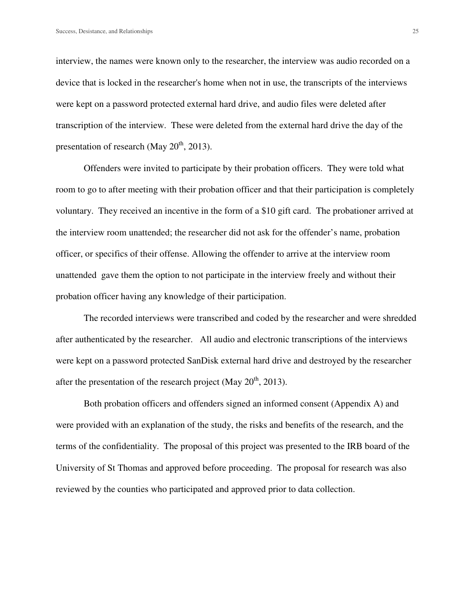interview, the names were known only to the researcher, the interview was audio recorded on a device that is locked in the researcher's home when not in use, the transcripts of the interviews were kept on a password protected external hard drive, and audio files were deleted after transcription of the interview. These were deleted from the external hard drive the day of the presentation of research (May  $20^{th}$ , 2013).

Offenders were invited to participate by their probation officers. They were told what room to go to after meeting with their probation officer and that their participation is completely voluntary. They received an incentive in the form of a \$10 gift card. The probationer arrived at the interview room unattended; the researcher did not ask for the offender's name, probation officer, or specifics of their offense. Allowing the offender to arrive at the interview room unattended gave them the option to not participate in the interview freely and without their probation officer having any knowledge of their participation.

 The recorded interviews were transcribed and coded by the researcher and were shredded after authenticated by the researcher. All audio and electronic transcriptions of the interviews were kept on a password protected SanDisk external hard drive and destroyed by the researcher after the presentation of the research project (May  $20^{th}$ , 2013).

 Both probation officers and offenders signed an informed consent (Appendix A) and were provided with an explanation of the study, the risks and benefits of the research, and the terms of the confidentiality. The proposal of this project was presented to the IRB board of the University of St Thomas and approved before proceeding. The proposal for research was also reviewed by the counties who participated and approved prior to data collection.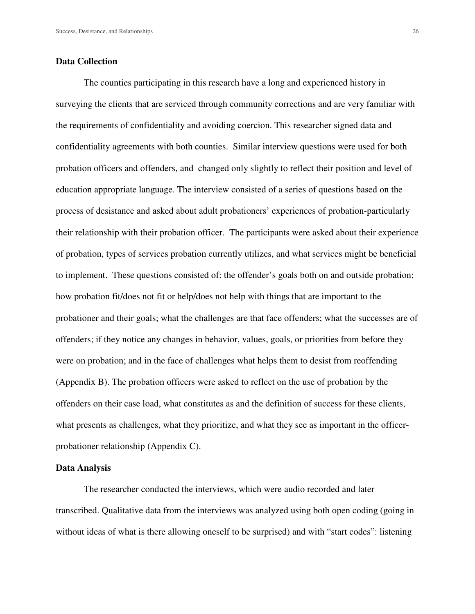#### **Data Collection**

The counties participating in this research have a long and experienced history in surveying the clients that are serviced through community corrections and are very familiar with the requirements of confidentiality and avoiding coercion. This researcher signed data and confidentiality agreements with both counties. Similar interview questions were used for both probation officers and offenders, and changed only slightly to reflect their position and level of education appropriate language. The interview consisted of a series of questions based on the process of desistance and asked about adult probationers' experiences of probation-particularly their relationship with their probation officer. The participants were asked about their experience of probation, types of services probation currently utilizes, and what services might be beneficial to implement. These questions consisted of: the offender's goals both on and outside probation; how probation fit/does not fit or help/does not help with things that are important to the probationer and their goals; what the challenges are that face offenders; what the successes are of offenders; if they notice any changes in behavior, values, goals, or priorities from before they were on probation; and in the face of challenges what helps them to desist from reoffending (Appendix B). The probation officers were asked to reflect on the use of probation by the offenders on their case load, what constitutes as and the definition of success for these clients, what presents as challenges, what they prioritize, and what they see as important in the officerprobationer relationship (Appendix C).

#### **Data Analysis**

 The researcher conducted the interviews, which were audio recorded and later transcribed. Qualitative data from the interviews was analyzed using both open coding (going in without ideas of what is there allowing oneself to be surprised) and with "start codes": listening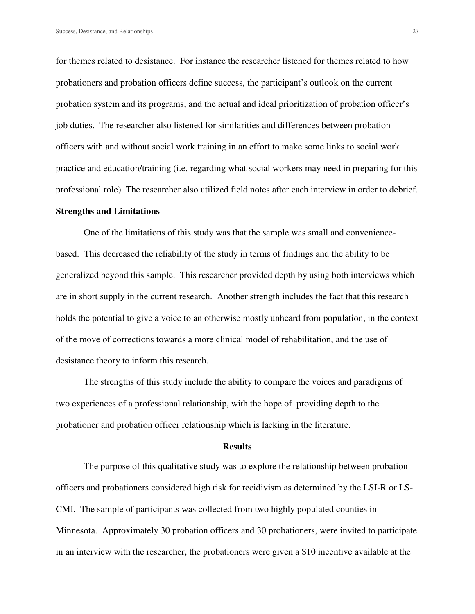for themes related to desistance. For instance the researcher listened for themes related to how probationers and probation officers define success, the participant's outlook on the current probation system and its programs, and the actual and ideal prioritization of probation officer's job duties. The researcher also listened for similarities and differences between probation officers with and without social work training in an effort to make some links to social work practice and education/training (i.e. regarding what social workers may need in preparing for this professional role). The researcher also utilized field notes after each interview in order to debrief.

#### **Strengths and Limitations**

One of the limitations of this study was that the sample was small and conveniencebased. This decreased the reliability of the study in terms of findings and the ability to be generalized beyond this sample. This researcher provided depth by using both interviews which are in short supply in the current research. Another strength includes the fact that this research holds the potential to give a voice to an otherwise mostly unheard from population, in the context of the move of corrections towards a more clinical model of rehabilitation, and the use of desistance theory to inform this research.

The strengths of this study include the ability to compare the voices and paradigms of two experiences of a professional relationship, with the hope of providing depth to the probationer and probation officer relationship which is lacking in the literature.

#### **Results**

 The purpose of this qualitative study was to explore the relationship between probation officers and probationers considered high risk for recidivism as determined by the LSI-R or LS-CMI. The sample of participants was collected from two highly populated counties in Minnesota. Approximately 30 probation officers and 30 probationers, were invited to participate in an interview with the researcher, the probationers were given a \$10 incentive available at the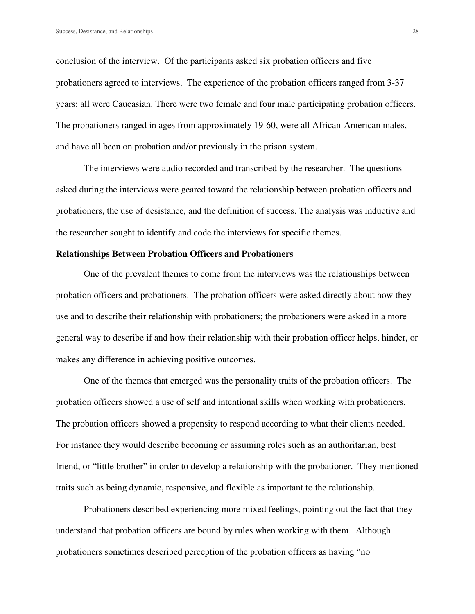conclusion of the interview. Of the participants asked six probation officers and five probationers agreed to interviews. The experience of the probation officers ranged from 3-37 years; all were Caucasian. There were two female and four male participating probation officers. The probationers ranged in ages from approximately 19-60, were all African-American males, and have all been on probation and/or previously in the prison system.

 The interviews were audio recorded and transcribed by the researcher. The questions asked during the interviews were geared toward the relationship between probation officers and probationers, the use of desistance, and the definition of success. The analysis was inductive and the researcher sought to identify and code the interviews for specific themes.

#### **Relationships Between Probation Officers and Probationers**

 One of the prevalent themes to come from the interviews was the relationships between probation officers and probationers. The probation officers were asked directly about how they use and to describe their relationship with probationers; the probationers were asked in a more general way to describe if and how their relationship with their probation officer helps, hinder, or makes any difference in achieving positive outcomes.

 One of the themes that emerged was the personality traits of the probation officers. The probation officers showed a use of self and intentional skills when working with probationers. The probation officers showed a propensity to respond according to what their clients needed. For instance they would describe becoming or assuming roles such as an authoritarian, best friend, or "little brother" in order to develop a relationship with the probationer. They mentioned traits such as being dynamic, responsive, and flexible as important to the relationship.

 Probationers described experiencing more mixed feelings, pointing out the fact that they understand that probation officers are bound by rules when working with them. Although probationers sometimes described perception of the probation officers as having "no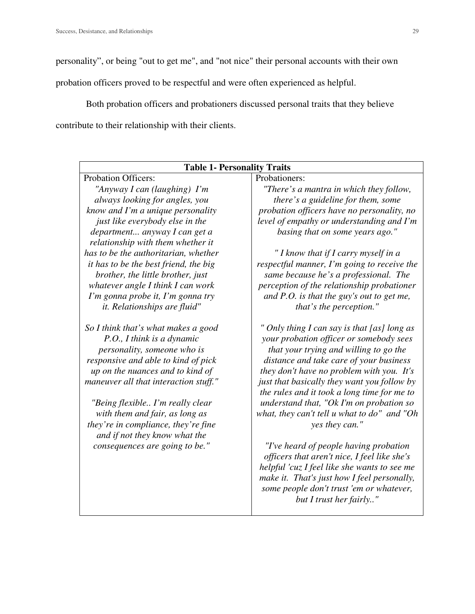personality", or being "out to get me", and "not nice" their personal accounts with their own

probation officers proved to be respectful and were often experienced as helpful.

 Both probation officers and probationers discussed personal traits that they believe contribute to their relationship with their clients.

| <b>Table 1- Personality Traits</b>    |                                              |  |
|---------------------------------------|----------------------------------------------|--|
| <b>Probation Officers:</b>            | Probationers:                                |  |
| "Anyway I can (laughing) I'm          | "There's a mantra in which they follow,      |  |
| always looking for angles, you        | there's a guideline for them, some           |  |
| know and I'm a unique personality     | probation officers have no personality, no   |  |
| just like everybody else in the       | level of empathy or understanding and I'm    |  |
| department anyway I can get a         | basing that on some years ago."              |  |
| relationship with them whether it     |                                              |  |
| has to be the authoritarian, whether  | "I know that if I carry myself in a          |  |
| it has to be the best friend, the big | respectful manner, I'm going to receive the  |  |
| brother, the little brother, just     | same because he's a professional. The        |  |
| whatever angle I think I can work     | perception of the relationship probationer   |  |
| I'm gonna probe it, I'm gonna try     | and $P.O.$ is that the guy's out to get me,  |  |
| <i>it.</i> Relationships are fluid"   | that's the perception."                      |  |
| So I think that's what makes a good   | " Only thing I can say is that [as] long as  |  |
| P.O., I think is a dynamic            | your probation officer or somebody sees      |  |
| personality, someone who is           | that your trying and willing to go the       |  |
| responsive and able to kind of pick   | distance and take care of your business      |  |
| up on the nuances and to kind of      | they don't have no problem with you. It's    |  |
| maneuver all that interaction stuff." | just that basically they want you follow by  |  |
|                                       | the rules and it took a long time for me to  |  |
| "Being flexible I'm really clear      | understand that, "Ok I'm on probation so     |  |
| with them and fair, as long as        | what, they can't tell u what to do" and "Oh  |  |
| they're in compliance, they're fine   | yes they can."                               |  |
| and if not they know what the         |                                              |  |
| consequences are going to be."        | "I've heard of people having probation"      |  |
|                                       | officers that aren't nice, I feel like she's |  |
|                                       | helpful 'cuz I feel like she wants to see me |  |
|                                       | make it. That's just how I feel personally,  |  |
|                                       | some people don't trust 'em or whatever,     |  |
|                                       | but I trust her fairly"                      |  |
|                                       |                                              |  |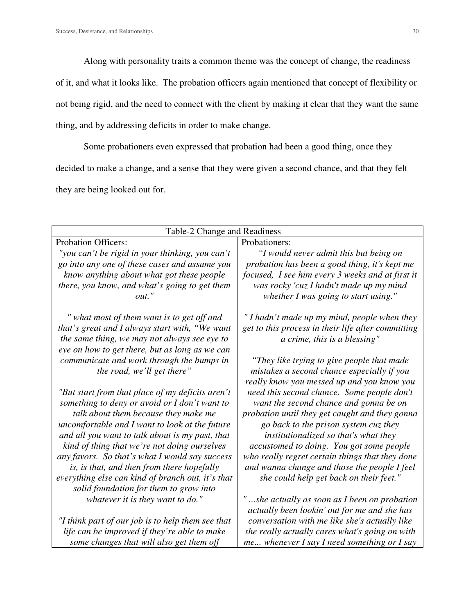Along with personality traits a common theme was the concept of change, the readiness

of it, and what it looks like. The probation officers again mentioned that concept of flexibility or

not being rigid, and the need to connect with the client by making it clear that they want the same

thing, and by addressing deficits in order to make change.

Some probationers even expressed that probation had been a good thing, once they

decided to make a change, and a sense that they were given a second chance, and that they felt

they are being looked out for.

| Table-2 Change and Readiness                                                                      |                                                                                                 |
|---------------------------------------------------------------------------------------------------|-------------------------------------------------------------------------------------------------|
| <b>Probation Officers:</b>                                                                        | Probationers:                                                                                   |
| "you can't be rigid in your thinking, you can't                                                   | "I would never admit this but being on                                                          |
| go into any one of these cases and assume you                                                     | probation has been a good thing, it's kept me                                                   |
| know anything about what got these people                                                         | focused, I see him every 3 weeks and at first it                                                |
| there, you know, and what's going to get them                                                     | was rocky 'cuz I hadn't made up my mind                                                         |
| $out.$ "                                                                                          | whether I was going to start using."                                                            |
|                                                                                                   |                                                                                                 |
| " what most of them want is to get off and                                                        | "I hadn't made up my mind, people when they                                                     |
| that's great and I always start with, "We want<br>the same thing, we may not always see eye to    | get to this process in their life after committing<br>a crime, this is a blessing"              |
| eye on how to get there, but as long as we can                                                    |                                                                                                 |
| communicate and work through the bumps in                                                         | "They like trying to give people that made                                                      |
| the road, we'll get there"                                                                        | mistakes a second chance especially if you                                                      |
|                                                                                                   | really know you messed up and you know you                                                      |
| "But start from that place of my deficits aren't                                                  | need this second chance. Some people don't                                                      |
| something to deny or avoid or I don't want to                                                     | want the second chance and gonna be on                                                          |
| talk about them because they make me                                                              | probation until they get caught and they gonna                                                  |
| uncomfortable and I want to look at the future                                                    | go back to the prison system cuz they                                                           |
| and all you want to talk about is my past, that                                                   | institutionalized so that's what they                                                           |
| kind of thing that we're not doing ourselves                                                      | accustomed to doing. You got some people                                                        |
| any favors. So that's what I would say success                                                    | who really regret certain things that they done                                                 |
| is, is that, and then from there hopefully                                                        | and wanna change and those the people I feel                                                    |
| everything else can kind of branch out, it's that                                                 | she could help get back on their feet."                                                         |
| solid foundation for them to grow into                                                            |                                                                                                 |
| whatever it is they want to do."                                                                  | "she actually as soon as I been on probation                                                    |
|                                                                                                   | actually been lookin' out for me and she has                                                    |
| "I think part of our job is to help them see that<br>life can be improved if they're able to make | conversation with me like she's actually like<br>she really actually cares what's going on with |
| some changes that will also get them off                                                          | me whenever I say I need something or I say                                                     |
|                                                                                                   |                                                                                                 |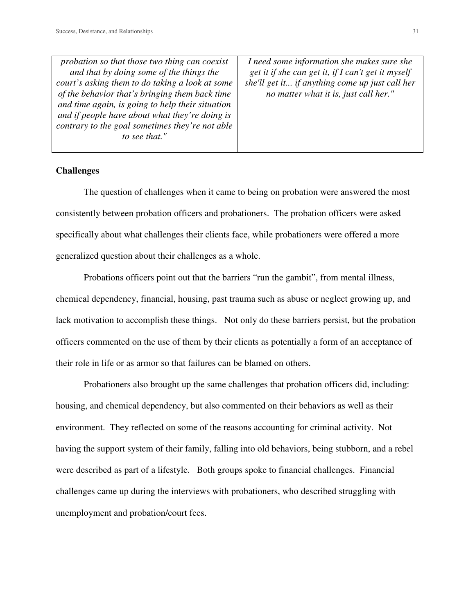| probation so that those two thing can coexist    | I need some information she makes sure she         |
|--------------------------------------------------|----------------------------------------------------|
| and that by doing some of the things the         | get it if she can get it, if I can't get it myself |
| court's asking them to do taking a look at some  | she'll get it if anything come up just call her    |
| of the behavior that's bringing them back time   | no matter what it is, just call her."              |
| and time again, is going to help their situation |                                                    |
| and if people have about what they're doing is   |                                                    |
| contrary to the goal sometimes they're not able  |                                                    |
| to see that."                                    |                                                    |
|                                                  |                                                    |

#### **Challenges**

 The question of challenges when it came to being on probation were answered the most consistently between probation officers and probationers. The probation officers were asked specifically about what challenges their clients face, while probationers were offered a more generalized question about their challenges as a whole.

 Probations officers point out that the barriers "run the gambit", from mental illness, chemical dependency, financial, housing, past trauma such as abuse or neglect growing up, and lack motivation to accomplish these things. Not only do these barriers persist, but the probation officers commented on the use of them by their clients as potentially a form of an acceptance of their role in life or as armor so that failures can be blamed on others.

 Probationers also brought up the same challenges that probation officers did, including: housing, and chemical dependency, but also commented on their behaviors as well as their environment. They reflected on some of the reasons accounting for criminal activity. Not having the support system of their family, falling into old behaviors, being stubborn, and a rebel were described as part of a lifestyle. Both groups spoke to financial challenges. Financial challenges came up during the interviews with probationers, who described struggling with unemployment and probation/court fees.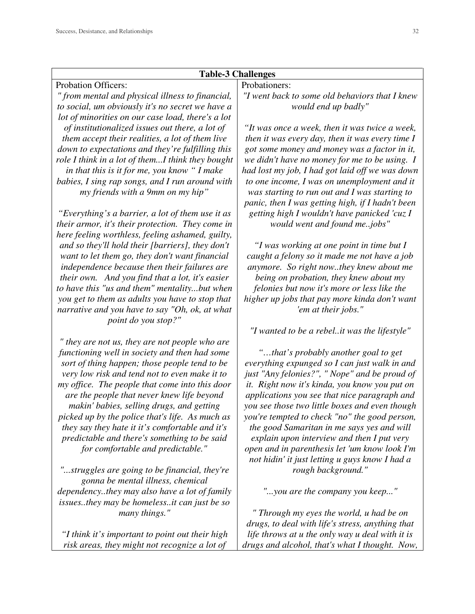# **Table-3 Challenges**

Probation Officers: *" from mental and physical illness to financial, to social, um obviously it's no secret we have a lot of minorities on our case load, there's a lot of institutionalized issues out there, a lot of them accept their realities, a lot of them live down to expectations and they're fulfilling this role I think in a lot of them...I think they bought in that this is it for me, you know " I make babies, I sing rap songs, and I run around with my friends with a 9mm on my hip"* 

*"Everything's a barrier, a lot of them use it as their armor, it's their protection. They come in here feeling worthless, feeling ashamed, guilty, and so they'll hold their [barriers], they don't want to let them go, they don't want financial independence because then their failures are their own. And you find that a lot, it's easier to have this "us and them" mentality...but when you get to them as adults you have to stop that narrative and you have to say "Oh, ok, at what point do you stop?"* 

*" they are not us, they are not people who are functioning well in society and then had some sort of thing happen; those people tend to be very low risk and tend not to even make it to my office. The people that come into this door are the people that never knew life beyond makin' babies, selling drugs, and getting picked up by the police that's life. As much as they say they hate it it's comfortable and it's predictable and there's something to be said for comfortable and predictable."* 

*"...struggles are going to be financial, they're gonna be mental illness, chemical dependency..they may also have a lot of family issues..they may be homeless..it can just be so many things."* 

*"I think it's important to point out their high risk areas, they might not recognize a lot of* 

# Probationers:

*"I went back to some old behaviors that I knew would end up badly"* 

*"It was once a week, then it was twice a week, then it was every day, then it was every time I got some money and money was a factor in it, we didn't have no money for me to be using. I had lost my job, I had got laid off we was down to one income, I was on unemployment and it was starting to run out and I was starting to panic, then I was getting high, if I hadn't been getting high I wouldn't have panicked 'cuz I would went and found me..jobs"* 

*"I was working at one point in time but I caught a felony so it made me not have a job anymore. So right now..they knew about me being on probation, they knew about my felonies but now it's more or less like the higher up jobs that pay more kinda don't want 'em at their jobs."* 

*"I wanted to be a rebel..it was the lifestyle"* 

*"…that's probably another goal to get everything expunged so I can just walk in and just "Any felonies?", " Nope" and be proud of it. Right now it's kinda, you know you put on applications you see that nice paragraph and you see those two little boxes and even though you're tempted to check "no" the good person, the good Samaritan in me says yes and will explain upon interview and then I put very open and in parenthesis let 'um know look I'm not hidin' it just letting u guys know I had a rough background."* 

*"...you are the company you keep..."* 

*" Through my eyes the world, u had be on drugs, to deal with life's stress, anything that life throws at u the only way u deal with it is drugs and alcohol, that's what I thought. Now,*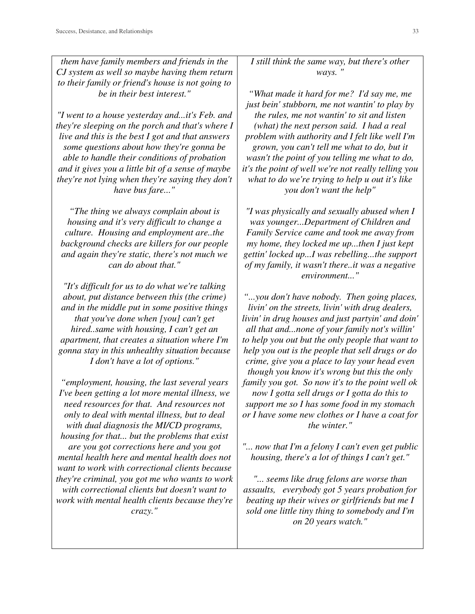*them have family members and friends in the CJ system as well so maybe having them return to their family or friend's house is not going to be in their best interest."* 

*"I went to a house yesterday and...it's Feb. and they're sleeping on the porch and that's where I live and this is the best I got and that answers some questions about how they're gonna be able to handle their conditions of probation and it gives you a little bit of a sense of maybe they're not lying when they're saying they don't have bus fare..."* 

*"The thing we always complain about is housing and it's very difficult to change a culture. Housing and employment are..the background checks are killers for our people and again they're static, there's not much we can do about that."* 

*"It's difficult for us to do what we're talking about, put distance between this (the crime) and in the middle put in some positive things that you've done when [you] can't get hired..same with housing, I can't get an apartment, that creates a situation where I'm gonna stay in this unhealthy situation because I don't have a lot of options."* 

*"employment, housing, the last several years I've been getting a lot more mental illness, we need resources for that. And resources not only to deal with mental illness, but to deal with dual diagnosis the MI/CD programs, housing for that... but the problems that exist are you got corrections here and you got mental health here and mental health does not want to work with correctional clients because they're criminal, you got me who wants to work with correctional clients but doesn't want to work with mental health clients because they're crazy."* 

*I still think the same way, but there's other ways. "* 

*"What made it hard for me? I'd say me, me just bein' stubborn, me not wantin' to play by the rules, me not wantin' to sit and listen (what) the next person said. I had a real problem with authority and I felt like well I'm grown, you can't tell me what to do, but it wasn't the point of you telling me what to do, it's the point of well we're not really telling you what to do we're trying to help u out it's like you don't want the help"* 

*"I was physically and sexually abused when I was younger...Department of Children and Family Service came and took me away from my home, they locked me up...then I just kept gettin' locked up...I was rebelling...the support of my family, it wasn't there..it was a negative environment..."* 

*"...you don't have nobody. Then going places, livin' on the streets, livin' with drug dealers, livin' in drug houses and just partyin' and doin' all that and...none of your family not's willin' to help you out but the only people that want to help you out is the people that sell drugs or do crime, give you a place to lay your head even though you know it's wrong but this the only family you got. So now it's to the point well ok now I gotta sell drugs or I gotta do this to support me so I has some food in my stomach or I have some new clothes or I have a coat for the winter."* 

*"... now that I'm a felony I can't even get public housing, there's a lot of things I can't get."* 

*"... seems like drug felons are worse than assaults, everybody got 5 years probation for beating up their wives or girlfriends but me I sold one little tiny thing to somebody and I'm on 20 years watch."*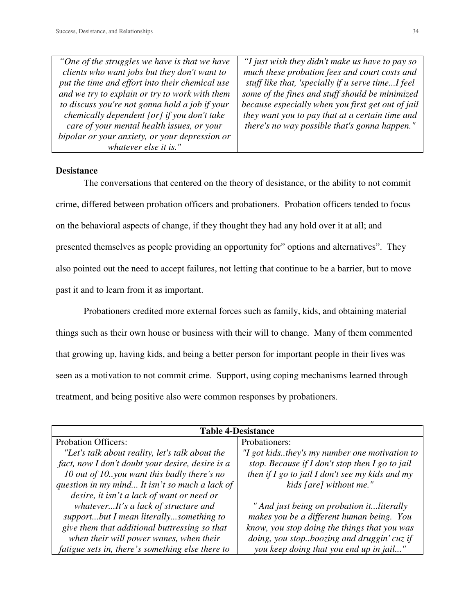| "One of the struggles we have is that we have   | "I just wish they didn't make us have to pay so   |
|-------------------------------------------------|---------------------------------------------------|
| clients who want jobs but they don't want to    | much these probation fees and court costs and     |
| put the time and effort into their chemical use | stuff like that, 'specially if u serve timeI feel |
| and we try to explain or try to work with them  | some of the fines and stuff should be minimized   |
| to discuss you're not gonna hold a job if your  | because especially when you first get out of jail |
| chemically dependent [or] if you don't take     | they want you to pay that at a certain time and   |
| care of your mental health issues, or your      | there's no way possible that's gonna happen."     |
| bipolar or your anxiety, or your depression or  |                                                   |
| whatever else it is."                           |                                                   |

# **Desistance**

 The conversations that centered on the theory of desistance, or the ability to not commit crime, differed between probation officers and probationers. Probation officers tended to focus on the behavioral aspects of change, if they thought they had any hold over it at all; and presented themselves as people providing an opportunity for" options and alternatives". They also pointed out the need to accept failures, not letting that continue to be a barrier, but to move past it and to learn from it as important.

 Probationers credited more external forces such as family, kids, and obtaining material things such as their own house or business with their will to change. Many of them commented that growing up, having kids, and being a better person for important people in their lives was seen as a motivation to not commit crime. Support, using coping mechanisms learned through treatment, and being positive also were common responses by probationers.

| <b>Table 4-Desistance</b>                        |                                                     |  |
|--------------------------------------------------|-----------------------------------------------------|--|
| <b>Probation Officers:</b>                       | Probationers:                                       |  |
| "Let's talk about reality, let's talk about the  | "I got kidsthey's my number one motivation to       |  |
| fact, now I don't doubt your desire, desire is a | stop. Because if $I$ don't stop then $I$ go to jail |  |
| 10 out of 10. you want this badly there's no     | then if $I$ go to jail $I$ don't see my kids and my |  |
| question in my mind It isn't so much a lack of   | kids [are] without me."                             |  |
| desire, it isn't a lack of want or need or       |                                                     |  |
| whateverIt's a lack of structure and             | " And just being on probation itliterally           |  |
| supportbut I mean literallysomething to          | makes you be a different human being. You           |  |
| give them that additional buttressing so that    | know, you stop doing the things that you was        |  |
| when their will power wanes, when their          | doing, you stopboozing and druggin' cuz if          |  |
| fatigue sets in, there's something else there to | you keep doing that you end up in jail"             |  |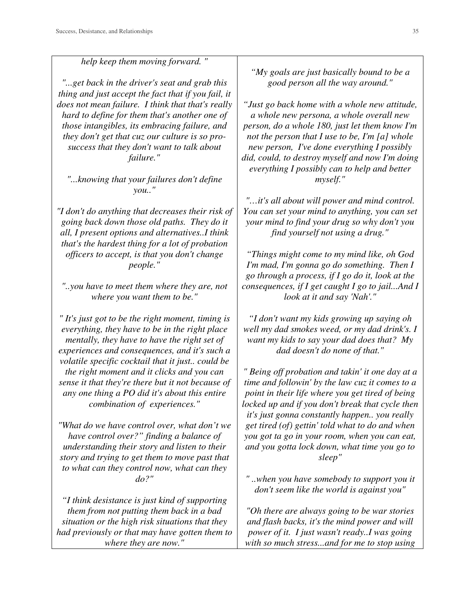*help keep them moving forward. " "...get back in the driver's seat and grab this thing and just accept the fact that if you fail, it does not mean failure. I think that that's really hard to define for them that's another one of those intangibles, its embracing failure, and they don't get that cuz our culture is so prosuccess that they don't want to talk about failure."* 

*"...knowing that your failures don't define you.."* 

*"I don't do anything that decreases their risk of going back down those old paths. They do it all, I present options and alternatives..I think that's the hardest thing for a lot of probation officers to accept, is that you don't change people."* 

*"..you have to meet them where they are, not where you want them to be."* 

*" It's just got to be the right moment, timing is everything, they have to be in the right place mentally, they have to have the right set of experiences and consequences, and it's such a volatile specific cocktail that it just.. could be the right moment and it clicks and you can sense it that they're there but it not because of any one thing a PO did it's about this entire combination of experiences."* 

*"What do we have control over, what don't we have control over?" finding a balance of understanding their story and listen to their story and trying to get them to move past that to what can they control now, what can they do?"* 

*"I think desistance is just kind of supporting them from not putting them back in a bad situation or the high risk situations that they had previously or that may have gotten them to where they are now."* 

*"My goals are just basically bound to be a good person all the way around."* 

*"Just go back home with a whole new attitude, a whole new persona, a whole overall new person, do a whole 180, just let them know I'm not the person that I use to be, I'm [a] whole new person, I've done everything I possibly did, could, to destroy myself and now I'm doing everything I possibly can to help and better myself."* 

*"…it's all about will power and mind control. You can set your mind to anything, you can set your mind to find your drug so why don't you find yourself not using a drug."* 

*"Things might come to my mind like, oh God I'm mad, I'm gonna go do something. Then I go through a process, if I go do it, look at the consequences, if I get caught I go to jail...And I look at it and say 'Nah'."* 

*"I don't want my kids growing up saying oh well my dad smokes weed, or my dad drink's. I want my kids to say your dad does that? My dad doesn't do none of that."* 

*" Being off probation and takin' it one day at a time and followin' by the law cuz it comes to a point in their life where you get tired of being locked up and if you don't break that cycle then it's just gonna constantly happen.. you really get tired (of) gettin' told what to do and when you got ta go in your room, when you can eat, and you gotta lock down, what time you go to sleep"* 

*" ..when you have somebody to support you it don't seem like the world is against you"* 

*"Oh there are always going to be war stories and flash backs, it's the mind power and will power of it. I just wasn't ready..I was going with so much stress...and for me to stop using*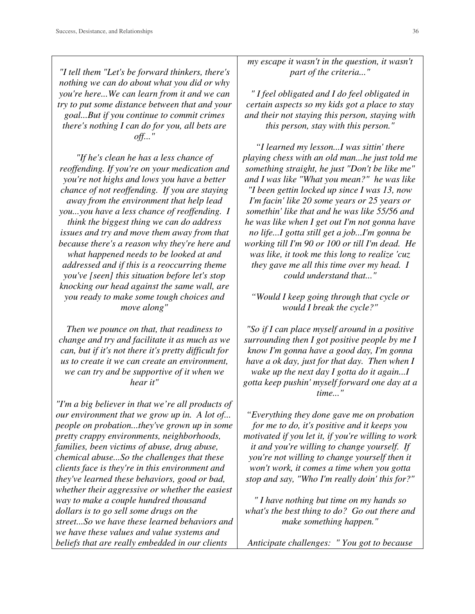*"I tell them "Let's be forward thinkers, there's nothing we can do about what you did or why you're here...We can learn from it and we can try to put some distance between that and your goal...But if you continue to commit crimes there's nothing I can do for you, all bets are off..."* 

*"If he's clean he has a less chance of reoffending. If you're on your medication and you're not highs and lows you have a better chance of not reoffending. If you are staying away from the environment that help lead you...you have a less chance of reoffending. I think the biggest thing we can do address issues and try and move them away from that because there's a reason why they're here and what happened needs to be looked at and addressed and if this is a reoccurring theme you've [seen] this situation before let's stop knocking our head against the same wall, are you ready to make some tough choices and move along"* 

*Then we pounce on that, that readiness to change and try and facilitate it as much as we can, but if it's not there it's pretty difficult for us to create it we can create an environment, we can try and be supportive of it when we hear it"* 

*"I'm a big believer in that we're all products of our environment that we grow up in. A lot of... people on probation...they've grown up in some pretty crappy environments, neighborhoods, families, been victims of abuse, drug abuse, chemical abuse...So the challenges that these clients face is they're in this environment and they've learned these behaviors, good or bad, whether their aggressive or whether the easiest way to make a couple hundred thousand dollars is to go sell some drugs on the street...So we have these learned behaviors and we have these values and value systems and beliefs that are really embedded in our clients* 

*my escape it wasn't in the question, it wasn't part of the criteria..."* 

*" I feel obligated and I do feel obligated in certain aspects so my kids got a place to stay and their not staying this person, staying with this person, stay with this person."* 

*"I learned my lesson...I was sittin' there playing chess with an old man...he just told me something straight, he just "Don't be like me" and I was like "What you mean?" he was like "I been gettin locked up since I was 13, now I'm facin' like 20 some years or 25 years or somethin' like that and he was like 55/56 and he was like when I get out I'm not gonna have no life...I gotta still get a job...I'm gonna be working till I'm 90 or 100 or till I'm dead. He was like, it took me this long to realize 'cuz they gave me all this time over my head. I could understand that..."* 

*"Would I keep going through that cycle or would I break the cycle?"* 

*"So if I can place myself around in a positive surrounding then I got positive people by me I know I'm gonna have a good day, I'm gonna have a ok day, just for that day. Then when I wake up the next day I gotta do it again...I gotta keep pushin' myself forward one day at a time..."* 

*"Everything they done gave me on probation for me to do, it's positive and it keeps you motivated if you let it, if you're willing to work it and you're willing to change yourself. If you're not willing to change yourself then it won't work, it comes a time when you gotta stop and say, "Who I'm really doin' this for?"* 

*" I have nothing but time on my hands so what's the best thing to do? Go out there and make something happen."* 

*Anticipate challenges: " You got to because*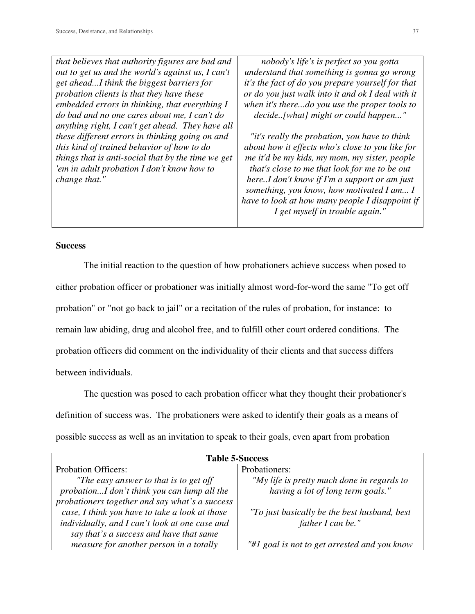*that believes that authority figures are bad and out to get us and the world's against us, I can't get ahead...I think the biggest barriers for probation clients is that they have these embedded errors in thinking, that everything I do bad and no one cares about me, I can't do anything right, I can't get ahead. They have all these different errors in thinking going on and this kind of trained behavior of how to do things that is anti-social that by the time we get 'em in adult probation I don't know how to change that."*

*nobody's life's is perfect so you gotta understand that something is gonna go wrong it's the fact of do you prepare yourself for that or do you just walk into it and ok I deal with it when it's there...do you use the proper tools to decide..[what] might or could happen..."* 

*"it's really the probation, you have to think about how it effects who's close to you like for me it'd be my kids, my mom, my sister, people that's close to me that look for me to be out here..I don't know if I'm a support or am just something, you know, how motivated I am... I have to look at how many people I disappoint if I get myself in trouble again."* 

#### **Success**

 The initial reaction to the question of how probationers achieve success when posed to either probation officer or probationer was initially almost word-for-word the same "To get off probation" or "not go back to jail" or a recitation of the rules of probation, for instance: to remain law abiding, drug and alcohol free, and to fulfill other court ordered conditions. The probation officers did comment on the individuality of their clients and that success differs between individuals.

 The question was posed to each probation officer what they thought their probationer's definition of success was. The probationers were asked to identify their goals as a means of possible success as well as an invitation to speak to their goals, even apart from probation

| <b>Table 5-Success</b>                         |                                              |  |  |
|------------------------------------------------|----------------------------------------------|--|--|
| <b>Probation Officers:</b>                     | Probationers:                                |  |  |
| "The easy answer to that is to get off         | "My life is pretty much done in regards to   |  |  |
| probationI don't think you can lump all the    | having a lot of long term goals."            |  |  |
| probationers together and say what's a success |                                              |  |  |
| case, I think you have to take a look at those | "To just basically be the best husband, best |  |  |
| individually, and I can't look at one case and | father I can be."                            |  |  |
| say that's a success and have that same        |                                              |  |  |
| measure for another person in a totally        | "#1 goal is not to get arrested and you know |  |  |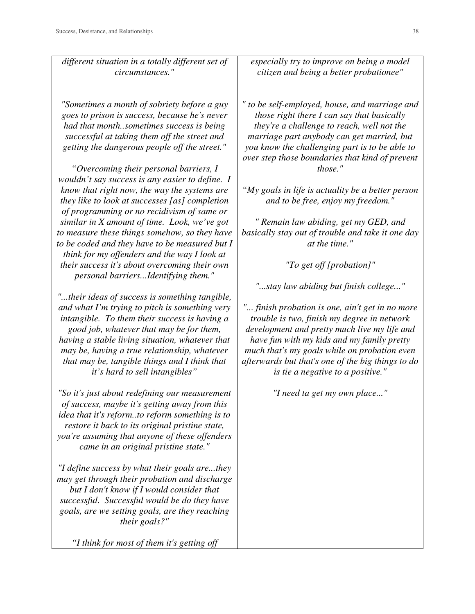*circumstances." "Sometimes a month of sobriety before a guy goes to prison is success, because he's never had that month..sometimes success is being successful at taking them off the street and getting the dangerous people off the street." "Overcoming their personal barriers, I wouldn't say success is any easier to define. I know that right now, the way the systems are they like to look at successes [as] completion of programming or no recidivism of same or similar in X amount of time. Look, we've got to measure these things somehow, so they have to be coded and they have to be measured but I* 

*think for my offenders and the way I look at their success it's about overcoming their own personal barriers...Identifying them."* 

*different situation in a totally different set of* 

*"...their ideas of success is something tangible, and what I'm trying to pitch is something very intangible. To them their success is having a good job, whatever that may be for them, having a stable living situation, whatever that may be, having a true relationship, whatever that may be, tangible things and I think that it's hard to sell intangibles"* 

*"So it's just about redefining our measurement of success, maybe it's getting away from this idea that it's reform..to reform something is to restore it back to its original pristine state, you're assuming that anyone of these offenders came in an original pristine state."* 

*"I define success by what their goals are...they may get through their probation and discharge but I don't know if I would consider that successful. Successful would be do they have goals, are we setting goals, are they reaching their goals?"* 

*"I think for most of them it's getting off* 

*especially try to improve on being a model citizen and being a better probationee"* 

*" to be self-employed, house, and marriage and those right there I can say that basically they're a challenge to reach, well not the marriage part anybody can get married, but you know the challenging part is to be able to over step those boundaries that kind of prevent those."* 

*"My goals in life is actuality be a better person and to be free, enjoy my freedom."* 

*" Remain law abiding, get my GED, and basically stay out of trouble and take it one day at the time."* 

*"To get off [probation]"* 

*"...stay law abiding but finish college..."* 

*"... finish probation is one, ain't get in no more trouble is two, finish my degree in network development and pretty much live my life and have fun with my kids and my family pretty much that's my goals while on probation even afterwards but that's one of the big things to do is tie a negative to a positive."* 

*"I need ta get my own place..."*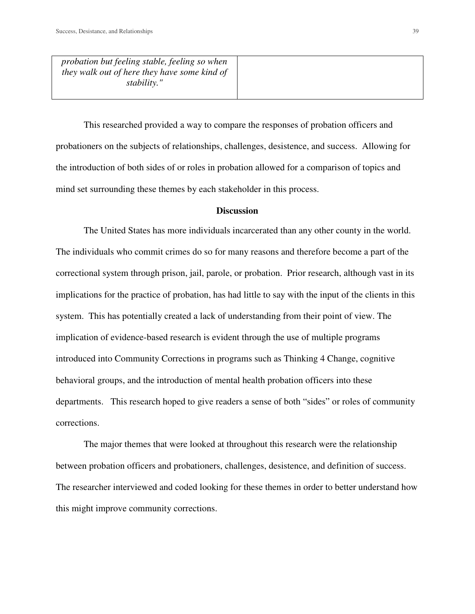*probation but feeling stable, feeling so when they walk out of here they have some kind of stability."* 

 This researched provided a way to compare the responses of probation officers and probationers on the subjects of relationships, challenges, desistence, and success. Allowing for the introduction of both sides of or roles in probation allowed for a comparison of topics and mind set surrounding these themes by each stakeholder in this process.

#### **Discussion**

 The United States has more individuals incarcerated than any other county in the world. The individuals who commit crimes do so for many reasons and therefore become a part of the correctional system through prison, jail, parole, or probation. Prior research, although vast in its implications for the practice of probation, has had little to say with the input of the clients in this system. This has potentially created a lack of understanding from their point of view. The implication of evidence-based research is evident through the use of multiple programs introduced into Community Corrections in programs such as Thinking 4 Change, cognitive behavioral groups, and the introduction of mental health probation officers into these departments. This research hoped to give readers a sense of both "sides" or roles of community corrections.

 The major themes that were looked at throughout this research were the relationship between probation officers and probationers, challenges, desistence, and definition of success. The researcher interviewed and coded looking for these themes in order to better understand how this might improve community corrections.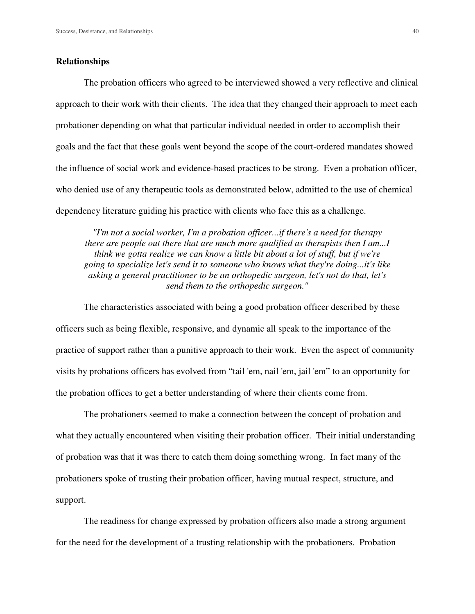#### **Relationships**

The probation officers who agreed to be interviewed showed a very reflective and clinical approach to their work with their clients. The idea that they changed their approach to meet each probationer depending on what that particular individual needed in order to accomplish their goals and the fact that these goals went beyond the scope of the court-ordered mandates showed the influence of social work and evidence-based practices to be strong. Even a probation officer, who denied use of any therapeutic tools as demonstrated below, admitted to the use of chemical dependency literature guiding his practice with clients who face this as a challenge.

*"I'm not a social worker, I'm a probation officer...if there's a need for therapy there are people out there that are much more qualified as therapists then I am...I think we gotta realize we can know a little bit about a lot of stuff, but if we're going to specialize let's send it to someone who knows what they're doing...it's like asking a general practitioner to be an orthopedic surgeon, let's not do that, let's send them to the orthopedic surgeon."* 

The characteristics associated with being a good probation officer described by these officers such as being flexible, responsive, and dynamic all speak to the importance of the practice of support rather than a punitive approach to their work. Even the aspect of community visits by probations officers has evolved from "tail 'em, nail 'em, jail 'em" to an opportunity for the probation offices to get a better understanding of where their clients come from.

The probationers seemed to make a connection between the concept of probation and what they actually encountered when visiting their probation officer. Their initial understanding of probation was that it was there to catch them doing something wrong. In fact many of the probationers spoke of trusting their probation officer, having mutual respect, structure, and support.

The readiness for change expressed by probation officers also made a strong argument for the need for the development of a trusting relationship with the probationers. Probation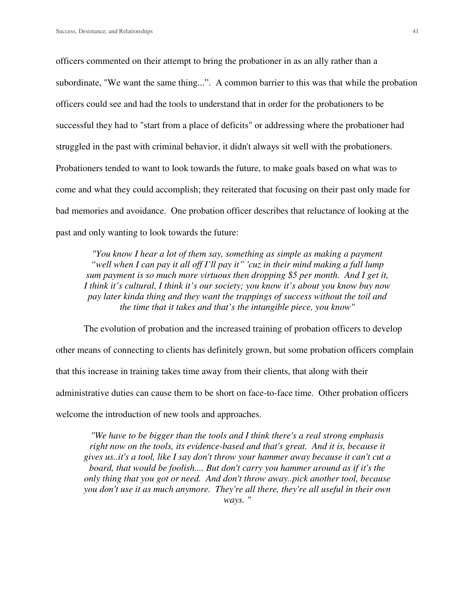officers commented on their attempt to bring the probationer in as an ally rather than a subordinate, "We want the same thing...". A common barrier to this was that while the probation officers could see and had the tools to understand that in order for the probationers to be successful they had to "start from a place of deficits" or addressing where the probationer had struggled in the past with criminal behavior, it didn't always sit well with the probationers. Probationers tended to want to look towards the future, to make goals based on what was to come and what they could accomplish; they reiterated that focusing on their past only made for bad memories and avoidance. One probation officer describes that reluctance of looking at the past and only wanting to look towards the future:

*"You know I hear a lot of them say, something as simple as making a payment "well when I can pay it all off I'll pay it" 'cuz in their mind making a full lump sum payment is so much more virtuous then dropping \$5 per month. And I get it, I think it's cultural, I think it's our society; you know it's about you know buy now pay later kinda thing and they want the trappings of success without the toil and the time that it takes and that's the intangible piece, you know"* 

The evolution of probation and the increased training of probation officers to develop other means of connecting to clients has definitely grown, but some probation officers complain that this increase in training takes time away from their clients, that along with their administrative duties can cause them to be short on face-to-face time. Other probation officers welcome the introduction of new tools and approaches.

*"We have to be bigger than the tools and I think there's a real strong emphasis right now on the tools, its evidence-based and that's great. And it is, because it gives us..it's a tool, like I say don't throw your hammer away because it can't cut a board, that would be foolish.... But don't carry you hammer around as if it's the only thing that you got or need. And don't throw away..pick another tool, because you don't use it as much anymore. They're all there, they're all useful in their own ways. "*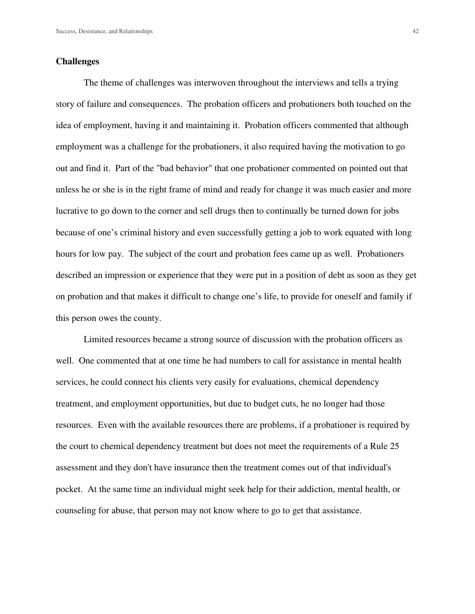#### **Challenges**

The theme of challenges was interwoven throughout the interviews and tells a trying story of failure and consequences. The probation officers and probationers both touched on the idea of employment, having it and maintaining it. Probation officers commented that although employment was a challenge for the probationers, it also required having the motivation to go out and find it. Part of the "bad behavior" that one probationer commented on pointed out that unless he or she is in the right frame of mind and ready for change it was much easier and more lucrative to go down to the corner and sell drugs then to continually be turned down for jobs because of one's criminal history and even successfully getting a job to work equated with long hours for low pay. The subject of the court and probation fees came up as well. Probationers described an impression or experience that they were put in a position of debt as soon as they get on probation and that makes it difficult to change one's life, to provide for oneself and family if this person owes the county.

 Limited resources became a strong source of discussion with the probation officers as well. One commented that at one time he had numbers to call for assistance in mental health services, he could connect his clients very easily for evaluations, chemical dependency treatment, and employment opportunities, but due to budget cuts, he no longer had those resources. Even with the available resources there are problems, if a probationer is required by the court to chemical dependency treatment but does not meet the requirements of a Rule 25 assessment and they don't have insurance then the treatment comes out of that individual's pocket. At the same time an individual might seek help for their addiction, mental health, or counseling for abuse, that person may not know where to go to get that assistance.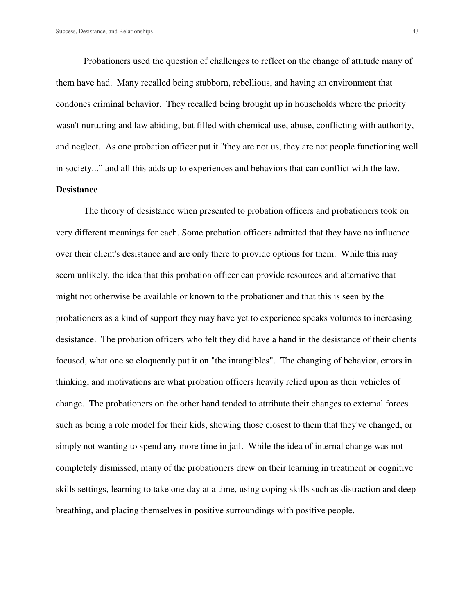Probationers used the question of challenges to reflect on the change of attitude many of them have had. Many recalled being stubborn, rebellious, and having an environment that condones criminal behavior. They recalled being brought up in households where the priority wasn't nurturing and law abiding, but filled with chemical use, abuse, conflicting with authority, and neglect. As one probation officer put it "they are not us, they are not people functioning well in society..." and all this adds up to experiences and behaviors that can conflict with the law.

# **Desistance**

The theory of desistance when presented to probation officers and probationers took on very different meanings for each. Some probation officers admitted that they have no influence over their client's desistance and are only there to provide options for them. While this may seem unlikely, the idea that this probation officer can provide resources and alternative that might not otherwise be available or known to the probationer and that this is seen by the probationers as a kind of support they may have yet to experience speaks volumes to increasing desistance. The probation officers who felt they did have a hand in the desistance of their clients focused, what one so eloquently put it on "the intangibles". The changing of behavior, errors in thinking, and motivations are what probation officers heavily relied upon as their vehicles of change. The probationers on the other hand tended to attribute their changes to external forces such as being a role model for their kids, showing those closest to them that they've changed, or simply not wanting to spend any more time in jail. While the idea of internal change was not completely dismissed, many of the probationers drew on their learning in treatment or cognitive skills settings, learning to take one day at a time, using coping skills such as distraction and deep breathing, and placing themselves in positive surroundings with positive people.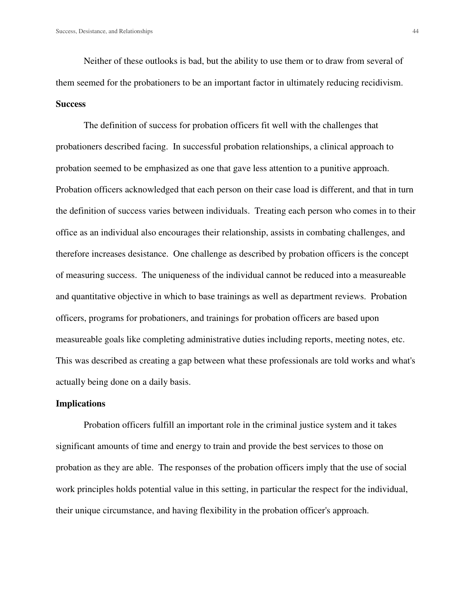Neither of these outlooks is bad, but the ability to use them or to draw from several of them seemed for the probationers to be an important factor in ultimately reducing recidivism. **Success** 

The definition of success for probation officers fit well with the challenges that probationers described facing. In successful probation relationships, a clinical approach to probation seemed to be emphasized as one that gave less attention to a punitive approach. Probation officers acknowledged that each person on their case load is different, and that in turn the definition of success varies between individuals. Treating each person who comes in to their office as an individual also encourages their relationship, assists in combating challenges, and therefore increases desistance. One challenge as described by probation officers is the concept of measuring success. The uniqueness of the individual cannot be reduced into a measureable and quantitative objective in which to base trainings as well as department reviews. Probation officers, programs for probationers, and trainings for probation officers are based upon measureable goals like completing administrative duties including reports, meeting notes, etc. This was described as creating a gap between what these professionals are told works and what's actually being done on a daily basis.

#### **Implications**

 Probation officers fulfill an important role in the criminal justice system and it takes significant amounts of time and energy to train and provide the best services to those on probation as they are able. The responses of the probation officers imply that the use of social work principles holds potential value in this setting, in particular the respect for the individual, their unique circumstance, and having flexibility in the probation officer's approach.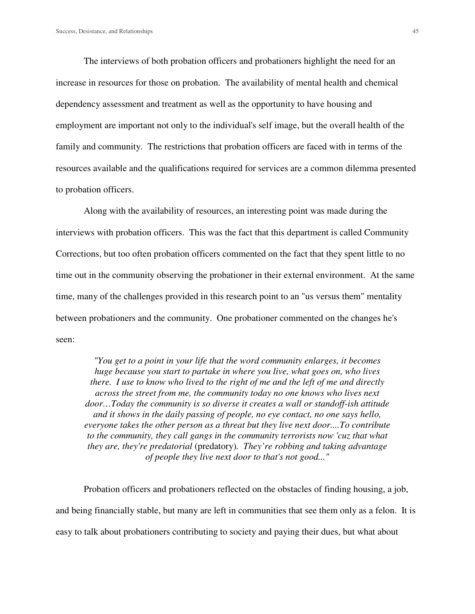The interviews of both probation officers and probationers highlight the need for an increase in resources for those on probation. The availability of mental health and chemical dependency assessment and treatment as well as the opportunity to have housing and employment are important not only to the individual's self image, but the overall health of the family and community. The restrictions that probation officers are faced with in terms of the resources available and the qualifications required for services are a common dilemma presented to probation officers.

 Along with the availability of resources, an interesting point was made during the interviews with probation officers. This was the fact that this department is called Community Corrections, but too often probation officers commented on the fact that they spent little to no time out in the community observing the probationer in their external environment. At the same time, many of the challenges provided in this research point to an "us versus them" mentality between probationers and the community. One probationer commented on the changes he's seen:

*"You get to a point in your life that the word community enlarges, it becomes huge because you start to partake in where you live, what goes on, who lives there. I use to know who lived to the right of me and the left of me and directly across the street from me, the community today no one knows who lives next door…Today the community is so diverse it creates a wall or standoff-ish attitude and it shows in the daily passing of people, no eye contact, no one says hello, everyone takes the other person as a threat but they live next door....To contribute to the community, they call gangs in the community terrorists now 'cuz that what they are, they're predatorial* (predatory)*. They're robbing and taking advantage of people they live next door to that's not good..."* 

 Probation officers and probationers reflected on the obstacles of finding housing, a job, and being financially stable, but many are left in communities that see them only as a felon. It is easy to talk about probationers contributing to society and paying their dues, but what about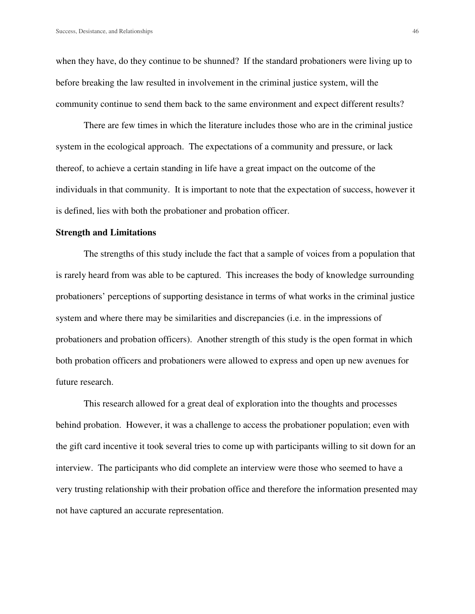when they have, do they continue to be shunned? If the standard probationers were living up to before breaking the law resulted in involvement in the criminal justice system, will the community continue to send them back to the same environment and expect different results?

There are few times in which the literature includes those who are in the criminal justice system in the ecological approach. The expectations of a community and pressure, or lack thereof, to achieve a certain standing in life have a great impact on the outcome of the individuals in that community. It is important to note that the expectation of success, however it is defined, lies with both the probationer and probation officer.

#### **Strength and Limitations**

The strengths of this study include the fact that a sample of voices from a population that is rarely heard from was able to be captured. This increases the body of knowledge surrounding probationers' perceptions of supporting desistance in terms of what works in the criminal justice system and where there may be similarities and discrepancies (i.e. in the impressions of probationers and probation officers). Another strength of this study is the open format in which both probation officers and probationers were allowed to express and open up new avenues for future research.

 This research allowed for a great deal of exploration into the thoughts and processes behind probation. However, it was a challenge to access the probationer population; even with the gift card incentive it took several tries to come up with participants willing to sit down for an interview. The participants who did complete an interview were those who seemed to have a very trusting relationship with their probation office and therefore the information presented may not have captured an accurate representation.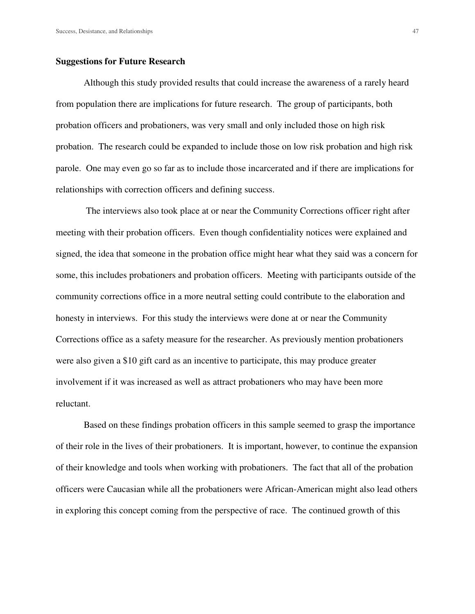#### **Suggestions for Future Research**

Although this study provided results that could increase the awareness of a rarely heard from population there are implications for future research. The group of participants, both probation officers and probationers, was very small and only included those on high risk probation. The research could be expanded to include those on low risk probation and high risk parole. One may even go so far as to include those incarcerated and if there are implications for relationships with correction officers and defining success.

 The interviews also took place at or near the Community Corrections officer right after meeting with their probation officers. Even though confidentiality notices were explained and signed, the idea that someone in the probation office might hear what they said was a concern for some, this includes probationers and probation officers. Meeting with participants outside of the community corrections office in a more neutral setting could contribute to the elaboration and honesty in interviews. For this study the interviews were done at or near the Community Corrections office as a safety measure for the researcher. As previously mention probationers were also given a \$10 gift card as an incentive to participate, this may produce greater involvement if it was increased as well as attract probationers who may have been more reluctant.

Based on these findings probation officers in this sample seemed to grasp the importance of their role in the lives of their probationers. It is important, however, to continue the expansion of their knowledge and tools when working with probationers. The fact that all of the probation officers were Caucasian while all the probationers were African-American might also lead others in exploring this concept coming from the perspective of race. The continued growth of this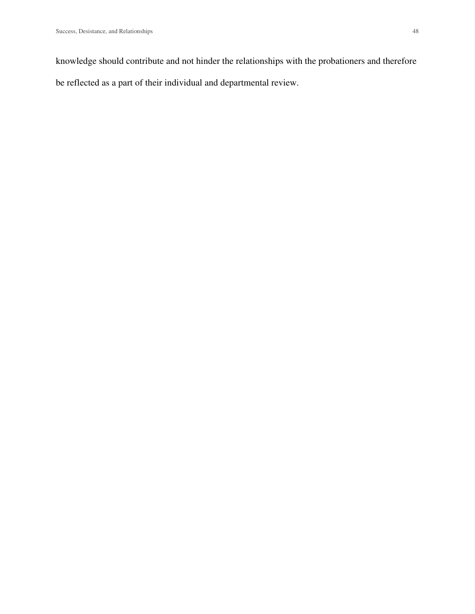knowledge should contribute and not hinder the relationships with the probationers and therefore be reflected as a part of their individual and departmental review.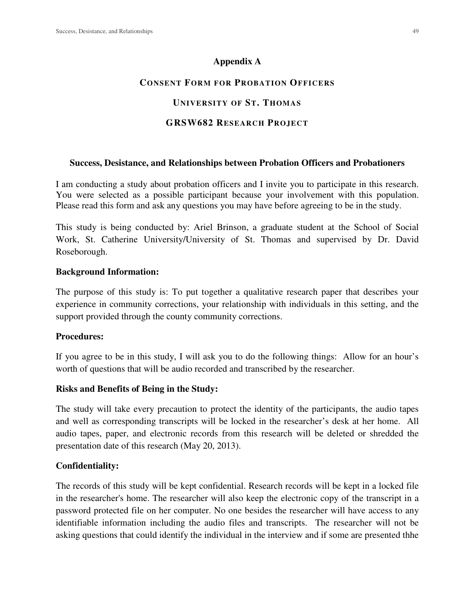#### **Appendix A**

# **CONSENT FORM FOR PROBATION OFFICERS**

# **UNIVERSITY OF ST. THOMAS**

# **GRSW682 RESEARCH PROJECT**

#### **Success, Desistance, and Relationships between Probation Officers and Probationers**

I am conducting a study about probation officers and I invite you to participate in this research. You were selected as a possible participant because your involvement with this population. Please read this form and ask any questions you may have before agreeing to be in the study.

This study is being conducted by: Ariel Brinson, a graduate student at the School of Social Work, St. Catherine University/University of St. Thomas and supervised by Dr. David Roseborough.

#### **Background Information:**

The purpose of this study is: To put together a qualitative research paper that describes your experience in community corrections, your relationship with individuals in this setting, and the support provided through the county community corrections.

#### **Procedures:**

If you agree to be in this study, I will ask you to do the following things: Allow for an hour's worth of questions that will be audio recorded and transcribed by the researcher.

#### **Risks and Benefits of Being in the Study:**

The study will take every precaution to protect the identity of the participants, the audio tapes and well as corresponding transcripts will be locked in the researcher's desk at her home. All audio tapes, paper, and electronic records from this research will be deleted or shredded the presentation date of this research (May 20, 2013).

## **Confidentiality:**

The records of this study will be kept confidential. Research records will be kept in a locked file in the researcher's home. The researcher will also keep the electronic copy of the transcript in a password protected file on her computer. No one besides the researcher will have access to any identifiable information including the audio files and transcripts. The researcher will not be asking questions that could identify the individual in the interview and if some are presented thhe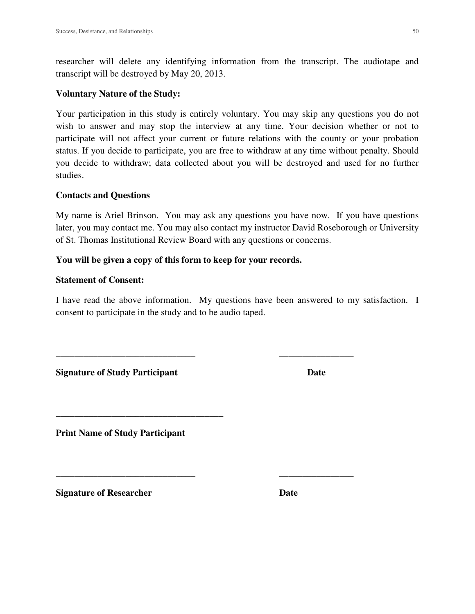researcher will delete any identifying information from the transcript. The audiotape and transcript will be destroyed by May 20, 2013.

#### **Voluntary Nature of the Study:**

Your participation in this study is entirely voluntary. You may skip any questions you do not wish to answer and may stop the interview at any time. Your decision whether or not to participate will not affect your current or future relations with the county or your probation status. If you decide to participate, you are free to withdraw at any time without penalty. Should you decide to withdraw; data collected about you will be destroyed and used for no further studies.

#### **Contacts and Questions**

My name is Ariel Brinson. You may ask any questions you have now. If you have questions later, you may contact me. You may also contact my instructor David Roseborough or University of St. Thomas Institutional Review Board with any questions or concerns.

#### **You will be given a copy of this form to keep for your records.**

#### **Statement of Consent:**

I have read the above information. My questions have been answered to my satisfaction. I consent to participate in the study and to be audio taped.

\_\_\_\_\_\_\_\_\_\_\_\_\_\_\_\_\_\_\_\_\_\_\_\_\_\_\_\_\_\_ \_\_\_\_\_\_\_\_\_\_\_\_\_\_\_\_

\_\_\_\_\_\_\_\_\_\_\_\_\_\_\_\_\_\_\_\_\_\_\_\_\_\_\_\_\_\_ \_\_\_\_\_\_\_\_\_\_\_\_\_\_\_\_

**Signature of Study Participant Date Date Construction Date** 

**Print Name of Study Participant** 

\_\_\_\_\_\_\_\_\_\_\_\_\_\_\_\_\_\_\_\_\_\_\_\_\_\_\_\_\_\_\_\_\_\_\_\_

**Signature of Researcher Date Date**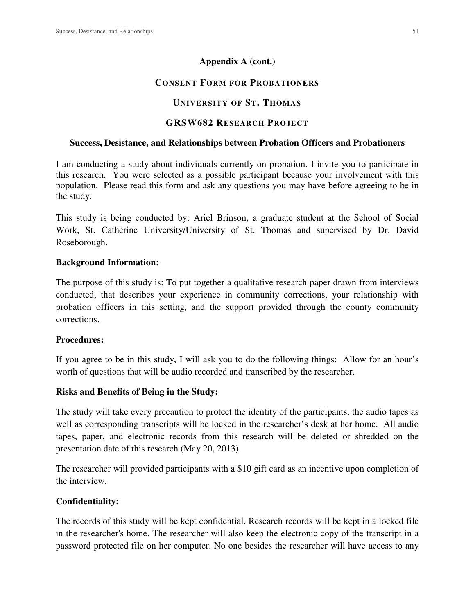# **Appendix A (cont.)**

# **CONSENT FORM FOR PROBATIONERS**

# **UNIVERSITY OF ST. THOMAS**

# **GRSW682 RESEARCH PROJECT**

#### **Success, Desistance, and Relationships between Probation Officers and Probationers**

I am conducting a study about individuals currently on probation. I invite you to participate in this research. You were selected as a possible participant because your involvement with this population. Please read this form and ask any questions you may have before agreeing to be in the study.

This study is being conducted by: Ariel Brinson, a graduate student at the School of Social Work, St. Catherine University/University of St. Thomas and supervised by Dr. David Roseborough.

## **Background Information:**

The purpose of this study is: To put together a qualitative research paper drawn from interviews conducted, that describes your experience in community corrections, your relationship with probation officers in this setting, and the support provided through the county community corrections.

## **Procedures:**

If you agree to be in this study, I will ask you to do the following things: Allow for an hour's worth of questions that will be audio recorded and transcribed by the researcher.

# **Risks and Benefits of Being in the Study:**

The study will take every precaution to protect the identity of the participants, the audio tapes as well as corresponding transcripts will be locked in the researcher's desk at her home. All audio tapes, paper, and electronic records from this research will be deleted or shredded on the presentation date of this research (May 20, 2013).

The researcher will provided participants with a \$10 gift card as an incentive upon completion of the interview.

# **Confidentiality:**

The records of this study will be kept confidential. Research records will be kept in a locked file in the researcher's home. The researcher will also keep the electronic copy of the transcript in a password protected file on her computer. No one besides the researcher will have access to any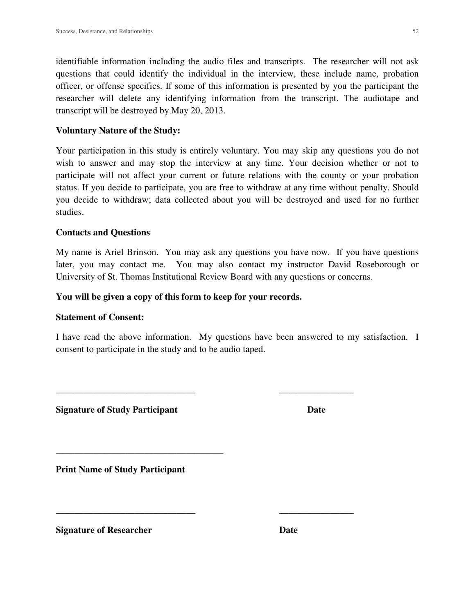identifiable information including the audio files and transcripts. The researcher will not ask questions that could identify the individual in the interview, these include name, probation officer, or offense specifics. If some of this information is presented by you the participant the researcher will delete any identifying information from the transcript. The audiotape and transcript will be destroyed by May 20, 2013.

# **Voluntary Nature of the Study:**

Your participation in this study is entirely voluntary. You may skip any questions you do not wish to answer and may stop the interview at any time. Your decision whether or not to participate will not affect your current or future relations with the county or your probation status. If you decide to participate, you are free to withdraw at any time without penalty. Should you decide to withdraw; data collected about you will be destroyed and used for no further studies.

# **Contacts and Questions**

My name is Ariel Brinson. You may ask any questions you have now. If you have questions later, you may contact me. You may also contact my instructor David Roseborough or University of St. Thomas Institutional Review Board with any questions or concerns.

# **You will be given a copy of this form to keep for your records.**

## **Statement of Consent:**

I have read the above information. My questions have been answered to my satisfaction. I consent to participate in the study and to be audio taped.

\_\_\_\_\_\_\_\_\_\_\_\_\_\_\_\_\_\_\_\_\_\_\_\_\_\_\_\_\_\_ \_\_\_\_\_\_\_\_\_\_\_\_\_\_\_\_

\_\_\_\_\_\_\_\_\_\_\_\_\_\_\_\_\_\_\_\_\_\_\_\_\_\_\_\_\_\_ \_\_\_\_\_\_\_\_\_\_\_\_\_\_\_\_

**Signature of Study Participant Date Constraint Date Construction Date** 

**Print Name of Study Participant** 

\_\_\_\_\_\_\_\_\_\_\_\_\_\_\_\_\_\_\_\_\_\_\_\_\_\_\_\_\_\_\_\_\_\_\_\_

**Signature of Researcher Date Date**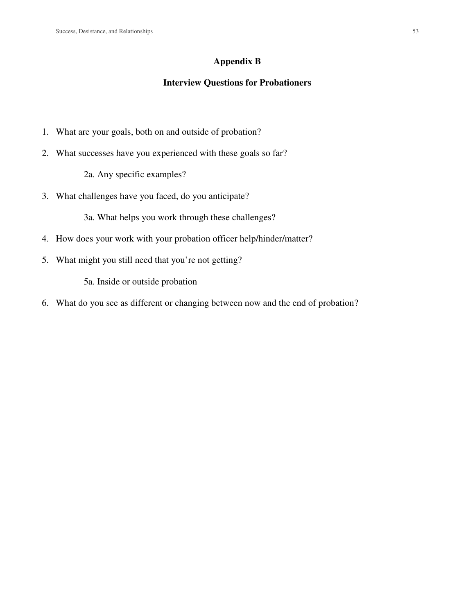#### **Appendix B**

# **Interview Questions for Probationers**

- 1. What are your goals, both on and outside of probation?
- 2. What successes have you experienced with these goals so far?

2a. Any specific examples?

3. What challenges have you faced, do you anticipate?

3a. What helps you work through these challenges?

- 4. How does your work with your probation officer help/hinder/matter?
- 5. What might you still need that you're not getting?

5a. Inside or outside probation

6. What do you see as different or changing between now and the end of probation?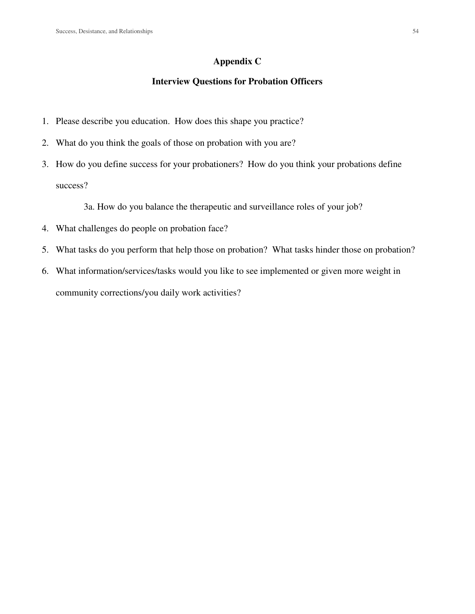# **Appendix C**

# **Interview Questions for Probation Officers**

- 1. Please describe you education. How does this shape you practice?
- 2. What do you think the goals of those on probation with you are?
- 3. How do you define success for your probationers? How do you think your probations define success?

3a. How do you balance the therapeutic and surveillance roles of your job?

- 4. What challenges do people on probation face?
- 5. What tasks do you perform that help those on probation? What tasks hinder those on probation?
- 6. What information/services/tasks would you like to see implemented or given more weight in community corrections/you daily work activities?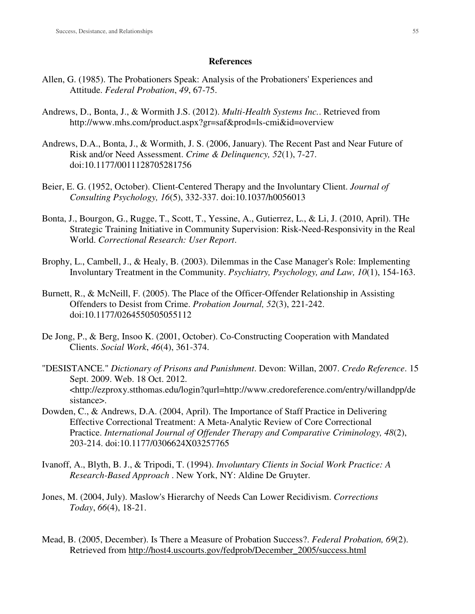#### **References**

- Allen, G. (1985). The Probationers Speak: Analysis of the Probationers' Experiences and Attitude. *Federal Probation*, *49*, 67-75.
- Andrews, D., Bonta, J., & Wormith J.S. (2012). *Multi-Health Systems Inc.*. Retrieved from http://www.mhs.com/product.aspx?gr=saf&prod=ls-cmi&id=overview
- Andrews, D.A., Bonta, J., & Wormith, J. S. (2006, January). The Recent Past and Near Future of Risk and/or Need Assessment. *Crime & Delinquency, 52*(1), 7-27. doi:10.1177/0011128705281756
- Beier, E. G. (1952, October). Client-Centered Therapy and the Involuntary Client. *Journal of Consulting Psychology, 16*(5), 332-337. doi:10.1037/h0056013
- Bonta, J., Bourgon, G., Rugge, T., Scott, T., Yessine, A., Gutierrez, L., & Li, J. (2010, April). THe Strategic Training Initiative in Community Supervision: Risk-Need-Responsivity in the Real World. *Correctional Research: User Report*.
- Brophy, L., Cambell, J., & Healy, B. (2003). Dilemmas in the Case Manager's Role: Implementing Involuntary Treatment in the Community. *Psychiatry, Psychology, and Law, 10*(1), 154-163.
- Burnett, R., & McNeill, F. (2005). The Place of the Officer-Offender Relationship in Assisting Offenders to Desist from Crime. *Probation Journal, 52*(3), 221-242. doi:10.1177/0264550505055112
- De Jong, P., & Berg, Insoo K. (2001, October). Co-Constructing Cooperation with Mandated Clients. *Social Work*, *46*(4), 361-374.
- "DESISTANCE." *Dictionary of Prisons and Punishment*. Devon: Willan, 2007. *Credo Reference*. 15 Sept. 2009. Web. 18 Oct. 2012. <http://ezproxy.stthomas.edu/login?qurl=http://www.credoreference.com/entry/willandpp/de sistance>.
- Dowden, C., & Andrews, D.A. (2004, April). The Importance of Staff Practice in Delivering Effective Correctional Treatment: A Meta-Analytic Review of Core Correctional Practice. *International Journal of Offender Therapy and Comparative Criminology, 48*(2), 203-214. doi:10.1177/0306624X03257765
- Ivanoff, A., Blyth, B. J., & Tripodi, T. (1994). *Involuntary Clients in Social Work Practice: A Research-Based Approach* . New York, NY: Aldine De Gruyter.
- Jones, M. (2004, July). Maslow's Hierarchy of Needs Can Lower Recidivism. *Corrections Today*, *66*(4), 18-21.
- Mead, B. (2005, December). Is There a Measure of Probation Success?. *Federal Probation, 69*(2). Retrieved from http://host4.uscourts.gov/fedprob/December\_2005/success.html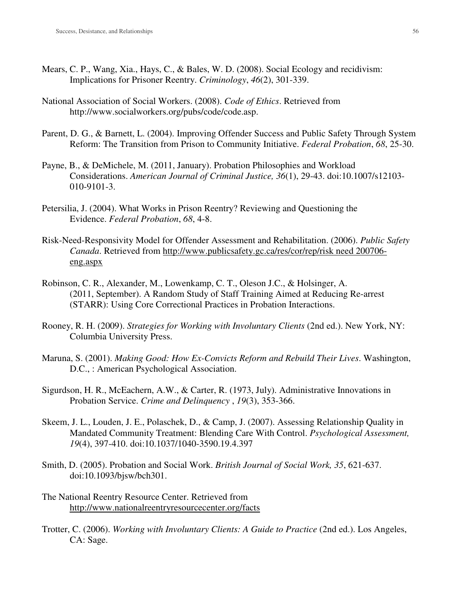- Mears, C. P., Wang, Xia., Hays, C., & Bales, W. D. (2008). Social Ecology and recidivism: Implications for Prisoner Reentry. *Criminology*, *46*(2), 301-339.
- National Association of Social Workers. (2008). *Code of Ethics*. Retrieved from http://www.socialworkers.org/pubs/code/code.asp.
- Parent, D. G., & Barnett, L. (2004). Improving Offender Success and Public Safety Through System Reform: The Transition from Prison to Community Initiative. *Federal Probation*, *68*, 25-30.
- Payne, B., & DeMichele, M. (2011, January). Probation Philosophies and Workload Considerations. *American Journal of Criminal Justice, 36*(1), 29-43. doi:10.1007/s12103- 010-9101-3.
- Petersilia, J. (2004). What Works in Prison Reentry? Reviewing and Questioning the Evidence. *Federal Probation*, *68*, 4-8.
- Risk-Need-Responsivity Model for Offender Assessment and Rehabilitation. (2006). *Public Safety Canada*. Retrieved from http://www.publicsafety.gc.ca/res/cor/rep/risk need 200706 eng.aspx
- Robinson, C. R., Alexander, M., Lowenkamp, C. T., Oleson J.C., & Holsinger, A. (2011, September). A Random Study of Staff Training Aimed at Reducing Re-arrest (STARR): Using Core Correctional Practices in Probation Interactions.
- Rooney, R. H. (2009). *Strategies for Working with Involuntary Clients* (2nd ed.). New York, NY: Columbia University Press.
- Maruna, S. (2001). *Making Good: How Ex-Convicts Reform and Rebuild Their Lives*. Washington, D.C., : American Psychological Association.
- Sigurdson, H. R., McEachern, A.W., & Carter, R. (1973, July). Administrative Innovations in Probation Service. *Crime and Delinquency* , *19*(3), 353-366.
- Skeem, J. L., Louden, J. E., Polaschek, D., & Camp, J. (2007). Assessing Relationship Quality in Mandated Community Treatment: Blending Care With Control. *Psychological Assessment, 19*(4), 397-410. doi:10.1037/1040-3590.19.4.397
- Smith, D. (2005). Probation and Social Work. *British Journal of Social Work, 35*, 621-637. doi:10.1093/bjsw/bch301.
- The National Reentry Resource Center. Retrieved from http://www.nationalreentryresourcecenter.org/facts
- Trotter, C. (2006). *Working with Involuntary Clients: A Guide to Practice* (2nd ed.). Los Angeles, CA: Sage.